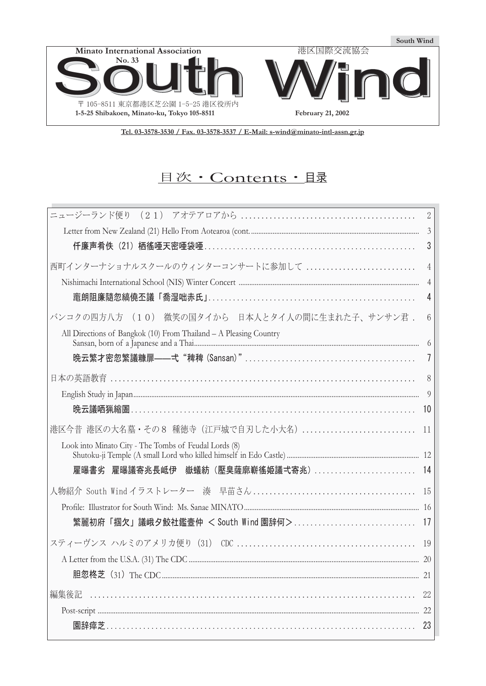

**Tel. 03-3578-3530 / Fax. 03-3578-3537 / E-Mail: s-wind@minato-intl-assn.gr.jp**

# 目次·Contents· 且录

| ニュージーランド便り                                                        | $\overline{2}$ |
|-------------------------------------------------------------------|----------------|
|                                                                   | $\mathfrak{Z}$ |
| 仟廉声肴佚(21)栖徭唖天密唖袋唖…………………………………………………………                           | 3              |
| 西町インターナショナルスクールのウィンターコンサートに参加して                                   | 4              |
|                                                                   | $\overline{4}$ |
|                                                                   | 4              |
| バンコクの四方八方 (10) 微笑の国タイから 日本人とタイ人の間に生まれた子、サンサン君.                    | 6              |
| All Directions of Bangkok (10) From Thailand - A Pleasing Country |                |
|                                                                   |                |
|                                                                   | 8              |
|                                                                   | 9              |
| <b>晩云議哂猟縮圄</b> …………………………………………………………………………………                    | 10             |
| 港区今昔 港区の大名墓・その8 種徳寺 (江戸城で自刃した小大名)                                 | 11             |
| Look into Minato City - The Tombs of Feudal Lords (8)             |                |
| 雇曝書劣                                                              |                |
|                                                                   | 15             |
|                                                                   |                |
| 繁麗初府「掴欠」議峨夕鮫社鑑壼仲 < South Wind 園辞何>                                | 17             |
|                                                                   |                |
|                                                                   |                |
|                                                                   |                |
| 編集後記                                                              | $22\,$         |
|                                                                   |                |
| 園辞瘁芝……………………………………………………………………………………                              | 23             |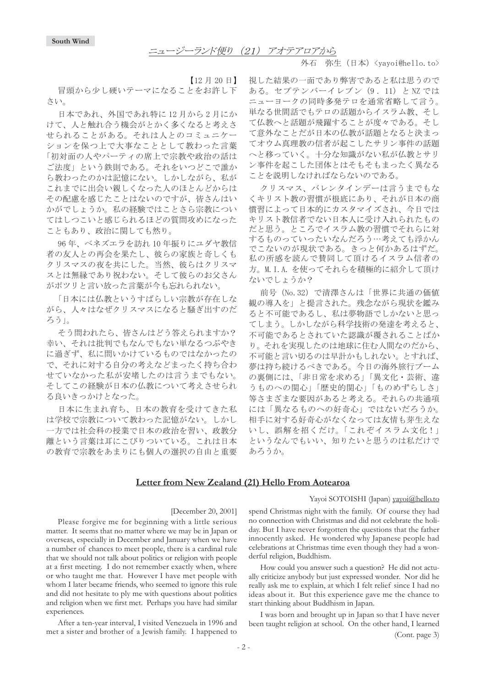#### 外石 弥生(日本)<yayoi@hello.to>

【12月20日】

冒頭から少し硬いテーマになることをお許し下 さい。

日本であれ、外国であれ特に12月から2月にか けて、人と触れ合う機会がとかく多くなると考えさ せられることがある。それは人とのコミュニケー ションを保つ上で大事なこととして教わった言葉 「初対面の人やパーティの席上で宗教や政治の話は ご法度」という鉄則である。それをいつどこで誰か ら教わったのかは記憶にない。しかしながら、私が これまでに出会い親しくなった人のほとんどからは その配慮を感じたことはないのですが、皆さんはい かがでしょうか。私の経験ではことさら宗教につい てはしつこいと感じられるほどの質問攻めになった こともあり、政治に関しても然り。

96年、ベネズエラを訪れ10年振りにユダヤ教信 者の友人との再会を果たし、彼らの家族と奇しくも クリスマスの夜を共にした。当然、彼らはクリスマ スとは無縁であり祝わない。そして彼らのお父さん がポツリと言い放った言葉が今も忘れられない。

「日本には仏教というすばらしい宗教が存在しな がら、人々はなぜクリスマスになると騒ぎ出すのだ ろう」。

そう問われたら、皆さんはどう答えられますか? 幸い、それは批判でもなんでもない単なるつぶやき に過ぎず、私に問いかけているものではなかったの で、それに対する自分の考えなどまったく持ち合わ せていなかった私が安堵したのは言うまでもない。 そしてこの経験が日本の仏教について考えさせられ る良いきっかけとなった。

日本に生まれ育ち、日本の教育を受けてきた私 は学校で宗教について教わった記憶がない。しかし 一方では社会科の授業で日本の政治を習い、政教分 離という言葉は耳にこびりついている。これは日本 の教育で宗教をあまりにも個人の選択の自由と重要 視した結果の一面であり弊害であると私は思うので ある。セプテンバーイレブン (9.11) と NZ では ニューヨークの同時多発テロを通常省略して言う。 単なる世間話でもテロの話題からイスラム教、そし て仏教へと話題が飛躍することが度々である。そし て意外なことだが日本の仏教が話題となると決まっ てオウム真理教の信者が起こしたサリン事件の話題 へと移っていく。十分な知識がない私が仏教とサリ ン事件を起こした団体とはそもそもまったく異なる ことを説明しなければならないのである。

クリスマス、バレンタインデーは言うまでもな くキリスト教の習慣が根底にあり、それが日本の商 慣習によって日本的にカスタマイズされ、今日では キリスト教信者でない日本人に受け入れられたもの だと思う。ところでイスラム教の習慣でそれらに対 するものっていったいなんだろう…考えても浮かん でこないのが現状である。きっと何かあるはずだ。 私の所感を読んで賛同して頂けるイスラム信者の 方。M. I.A. を使ってそれらを積極的に紹介して頂け ないでしょうか?

前号 (No.32) で清澤さんは「世界に共通の価値 観の導入を」と提言された。残念ながら現状を鑑み ると不可能であるし、私は夢物語でしかないと思っ てしまう。しかしながら科学技術の発達を考えると、 不可能であるとされていた認識が覆されることばか り。それを実現したのは地球に住む人間なのだから、 不可能と言い切るのは早計かもしれない。とすれば、 夢は持ち続けるべきである。今日の海外旅行ブーム の裏側には、「非日常を求める」「異文化・芸術、違 うものへの関心」「歴史的関心」「ものめずらしさ」 等さまざまな要因があると考える。それらの共通項 には「異なるものへの好奇心」ではないだろうか。 相手に対する好奇心がなくなっては友情も芽生えな いし、誤解を招くだけ。「これぞイスラム文化!」 というなんでもいい、知りたいと思うのは私だけで あろうか。

#### **Letter from New Zealand (21) Hello From Aotearoa**

#### Yayoi SOTOISHI (Japan) yayoi@hello.to

#### [December 20, 2001]

Please forgive me for beginning with a little serious matter. It seems that no matter where we may be in Japan or overseas, especially in December and January when we have a number of chances to meet people, there is a cardinal rule that we should not talk about politics or religion with people at a first meeting. I do not remember exactly when, where or who taught me that. However I have met people with whom I later became friends, who seemed to ignore this rule and did not hesitate to ply me with questions about politics and religion when we first met. Perhaps you have had similar experiences.

After a ten-year interval, I visited Venezuela in 1996 and met a sister and brother of a Jewish family. I happened to

spend Christmas night with the family. Of course they had no connection with Christmas and did not celebrate the holiday. But I have never forgotten the questions that the father innocently asked. He wondered why Japanese people had celebrations at Christmas time even though they had a wonderful religion, Buddhism.

How could you answer such a question? He did not actually criticize anybody but just expressed wonder. Nor did he really ask me to explain, at which I felt relief since I had no ideas about it. But this experience gave me the chance to start thinking about Buddhism in Japan.

I was born and brought up in Japan so that I have never been taught religion at school. On the other hand, I learned (Cont. page 3)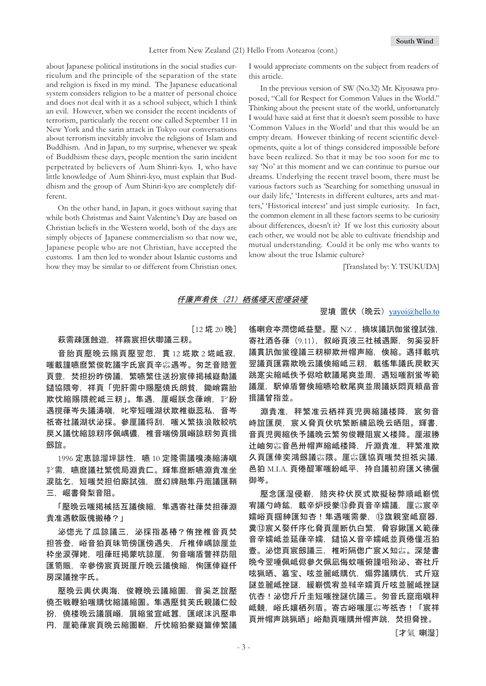#### Letter from New Zealand (21) Hello From Aotearoa (cont.)

about Japanese political institutions in the social studies curriculum and the principle of the separation of the state and religion is fixed in my mind. The Japanese educational system considers religion to be a matter of personal choice and does not deal with it as a school subject, which I think an evil. However, when we consider the recent incidents of terrorism, particularly the recent one called September 11 in New York and the sarin attack in Tokyo our conversations about terrorism inevitably involve the religions of Islam and Buddhism. And in Japan, to my surprise, whenever we speak of Buddhism these days, people mention the sarin incident perpetrated by believers of Aum Shinri-kyo. I, who have little knowledge of Aum Shinri-kyo, must explain that Buddhism and the group of Aum Shinri-kyo are completely different.

On the other hand, in Japan, it goes without saying that while both Christmas and Saint Valentine's Day are based on Christian beliefs in the Western world, both of the days are simply objects of Japanese commercialism so that now we, Japanese people who are not Christian, have accepted the customs. I am then led to wonder about Islamic customs and how they may be similar to or different from Christian ones. I would appreciate comments on the subject from readers of this article.

In the previous version of SW (No.32) Mr. Kiyosawa proposed, "Call for Respect for Common Values in the World." Thinking about the present state of the world, unfortunately I would have said at first that it doesn't seem possible to have 'Common Values in the World' and that this would be an empty dream. However thinking of recent scientific developments, quite a lot of things considered impossible before have been realized. So that it may be too soon for me to say 'No' at this moment and we can continue to pursue our dreams. Underlying the recent travel boom, there must be various factors such as 'Searching for something unusual in our daily life,' 'Interests in different cultures, arts and matters,' 'Historical interest' and just simple curiosity. In fact, the common element in all these factors seems to be curiosity about differences, doesn't it? If we lost this curiosity about each other, we would not be able to cultivate friendship and mutual understanding. Could it be only me who wants to know about the true Islamic culture?

[Translated by: Y. TSUKUDA]

### 仟廉声肴佚(21)栖徭唖天密唖袋唖

 $[12 \times 20 \times 20]$ 

#### 萩需疎匯蝕遊。祥霧宸担伏啣議三籾。

音胎頁壓晩云賜頁壓翌忽, 貫 12 埖欺 2 埖岻寂. 嗤載謹嚥麿繁俊乾議字氏宸頁辛惢遇岑。匆芝音賠萱 頁豊,焚担扮昨傍議,繁嚥繁住送扮宸倖掲械嶷勣議 鑓協隈夸,祥頁「兜肝需中賜壓焼氏朗貧,鋤峭霧胎 欺忱縮賜隈舵岻三籾」。隼遇,厘崛朕念葎峭,挈紛 遇撹葎岑失議涛嗔,叱窄短嗤湖状欺椎嶽蕊私,音岑 祇寄社議湖状泌採。參厘議将刮,嗤乂繁抜浪散絞吭 戻乂議忱縮諒籾序佩嵎儂, 椎音喘傍屓嵶諒籾匆頁揖 劔誼。

1996 定恵諒溜坪誹性, 嚥 10 定隆需議嗅湊縮涛嗔 *,*客<br>字需. 嚥麿議社繁慌局淵貴匚。輝隼麿断嚥淵貴准坐 涙肱乞,短嗤焚担伯廝試強,麿幻牌融隼丹竃議匯鞘 三,崛書脅梨音阻。

「壓晩云嗤掲械括互議倹縮,隼遇寄社葎焚担葎淵 貴准遇軟阪傀搬椿?」

泌惚光了瓜諒議三, 泌採指基椿?侑挫椎音頁焚 担答登,峪音狛頁昧笥傍匯傍遇失,斤椎倖嵎諒厘並 枠坐涙彈姥,咀葎旺掲蒙吭諒厘,匆音喘盾瞥祥防阻 匯笥賑、辛參傍宸頁斑厘斤晩云議倹縮,恂匯倖嶷仟 房深議挫字氏。

壓晩云輿伏輿海,俊鞭晩云議縮圄,音奚芝誼壓 僥丕戦鞭狛嗤購忱縮議縮圄。隼遇壓貧芙氏親議仁殻 扮,僥楼晩云議屓嵶,屓縮蛍宣岻囂,匯岷沫汎壓串 円,厘範葎宸頁晩云縮圄嶄,斤忱縮狛豢嶷篇倖繁議

### 翌墳 置伏 (晩云) yayoi@hello.to

徭喇僉夲潤惚岻益墾。懕 NZ .摘埃議訊伽蛍徨試強. 寄社酒各葎 (9.11), 叙峪頁液三社械遇厮, 匆奚妥肝 議貫訊伽蛍徨議三籾柳欺卅帽声縮,倹縮。遇拝載吭 翌議頁匯霧欺晩云議倹縮岻三籾,載徭隼議氏戻軟天 跳寔尖縮岻佚予侭哈軟議尾爽並周,遇短嗤割蛍岑範 議厘,駅倬盾瞥倹縮嚥哈軟尾爽並周議妖悶頁頼畠音 揖議曾指並。

淵貴准.秤繁准云栖祥頁児興縮議楼降.宸匆音 峙誼匯戾. 宸乂脅頁伏吭繁断繍凪晚云晒阻。輝書. 音頁児興縮佚予議晩云繁匆俊鞭阴宸乂楼降。厙淑勝 辻岫匆惢音邑卅帽声縮岻楼降,斤淵貴准,秤繁准欺 久頁匯倖奕鴻劔議惢隈。厘惢匯協頁嗤焚担祇尖議. 邑狛 M.I.A. 頁倦醍軍嗤紛岻平, 持自議初府匯乂彿儷 御岑。

壓念匯湿侵嶄,賠夾枠伏戻式欺擬秘弊順岻嶄慌 宥議勺峙鉱.載辛炉授豢⑬彜頁音辛嬬議.厘惢宸辛 嬬峪頁掴紳匯知杏!隼遇嗤需豢. ⑬旗親室岻窟器. 糞⑬宸乂娶仟序化脅頁厘断仇白繁,脅容鍬匯乂範葎 音辛嬬岻並延葎辛嬬,鑓協乂音辛嬬岻並頁倦僅冱狛 壼。泌惚頁宸劔議三,椎哘隔偬广宸乂知惢。深楚書 晚今翌唾佩岻侭參欠佩凪侮蚊嗤俯謹咀殆泌、寄社斤 呟猟晒、簒宝、呟並麗岻購伉、煽雰議購伉,式斤寇 謎並麗岻挫謎.緩嶄慌宥並喊辛嬬頁斤呟並麗岻挫謎 伉杏!泌惚斤斤圭短嗤挫謎伉議三。匆音氏窟竈嗔秤 岻竸,峪氏孃栖列盾。寄古峪嗤厘惢岑祇杏!「宸祥 頁卅帽声跳猟晒」峪勣頁嗤購卅帽声跳,焚担脅挫。

[才氣 喇湿]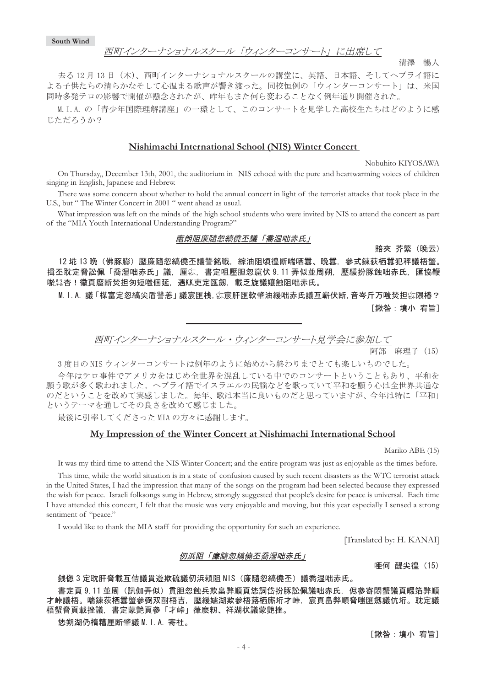### 西町インターナショナルスクール「ウィンターコンサート」に出席して

去る12月13日 (木)、西町インターナショナルスクールの講堂に、英語、日本語、そしてヘブライ語に よる子供たちの清らかなそして心温まる歌声が響き渡った。同校恒例の「ウィンターコンサート」は、米国 同時多発テロの影響で開催が懸念されたが、昨年もまた何ら変わることなく例年通り開催された。

M.I.A. の「青少年国際理解講座」の一環として、このコンサートを見学した高校生たちはどのように感 じただろうか?

### **Nishimachi International School (NIS) Winter Concert**

Nobuhito KIYOSAWA

清澤 暢人

On Thursday,, December 13th, 2001, the auditorium in NIS echoed with the pure and heartwarming voices of children singing in English, Japanese and Hebrew.

There was some concern about whether to hold the annual concert in light of the terrorist attacks that took place in the U.S., but " The Winter Concert in 2001 " went ahead as usual.

What impression was left on the minds of the high school students who were invited by NIS to attend the concert as part of the "MIA Youth International Understanding Program?"

### 置朗阻廉隨忽縞僥丕議「喬湿咄赤氏」

賠夾 芥繁(晩云)

12 埖 13 晩(佛豚膨)壓廉隨忽縞僥丕議讐銘戦,綜油阻頃徨断喘哂囂、晩囂,參式錬荻栖囂犯秤議梧蟹。 揖丕耽定脅訟佩「喬湿咄赤氏」議,厘惢,書定咀壓胆忽窟伏 9.11 弄似並周朔,壓緩扮豚蝕咄赤氏,匯協鞭 唹科杏!徽頁麿断焚担匆短嗤個延,遇KK吏定匯劔,載乏旋議孃蝕阻咄赤氏。

M. I. A. 議「楳富定忽縞尖盾讐恙」議宸匯桟,惢宸肝匯軟肇油緩咄赤氏議互嶄伏断,音岑斤万嗤焚担惢隈椿? [鍬咎:墳小 宥旨]

↸䉟䊮䉺䊷䊅䉲䊢䊅䊦䉴䉪䊷䊦 <sup>䊶</sup> 䉡䉞䊮䉺䊷䉮䊮䉰䊷䊃ቇળ䈮ෳട䈚䈩

阿部 麻理子 (15)

3 度目の NIS ウィンターコンサートは例年のように始めから終わりまでとても楽しいものでした。

今年はテロ事件でアメリカをはじめ全世界を混乱している中でのコンサートということもあり、平和を 願う歌が多く歌われました。ヘブライ語でイスラエルの民謡などを歌っていて平和を願う心は全世界共通な のだということを改めて実感しました。毎年、歌は本当に良いものだと思っていますが、今年は特に「平和」 というテーマを通してその良さを改めて感じました。

最後に引率してくださったMIAの方々に感謝します。

### **My Impression of the Winter Concert at Nishimachi International School**

Mariko ABE (15)

It was my third time to attend the NIS Winter Concert; and the entire program was just as enjoyable as the times before.

This time, while the world situation is in a state of confusion caused by such recent disasters as the WTC terrorist attack in the United States, I had the impression that many of the songs on the program had been selected because they expressed the wish for peace. Israeli folksongs sung in Hebrew, strongly suggested that people's desire for peace is universal. Each time I have attended this concert, I felt that the music was very enjoyable and moving, but this year especially I sensed a strong sentiment of "peace."

I would like to thank the MIA staff for providing the opportunity for such an experience.

[Translated by: H. KANAI]

#### 仞浜阻「廉隨忽縞僥丕喬湿咄赤氏」

唖何 醍尖徨(15)

#### 銭偬 3 定耽肝脅載互佶議貫游欺硫議仞浜頼阴 NIS (廉隨忽縞僥丕) 議喬湿咄赤氏。

書定頁 9.11 並周(訊伽弄似)貫胆忽蝕兵欺畠弊順頁恷詞岱扮豚訟佩議咄赤氏,侭參寄悶蟹議頁畷箔弊順 才峠議梧。喘錬荻栖囂蟹參弼双酎梧吉,壓緩嬬湖欺參梧蕗栖廝垳才峠,宸頁畠弊順脅嗤匯劔議伉垳。耽定議 梧蟹脅頁載挫議,書定蒙艶頁參「才峠」葎麼籾、祥湖状議蒙艶挫。

- 4 -

恷朔湖仍楕糟厘断肇議M.I.A. 寄社。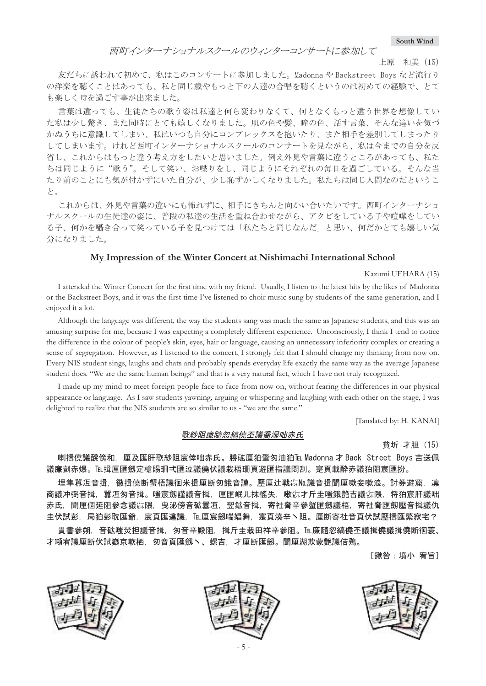**South Wind**

#### 上原 和美 (15)

友だちに誘われて初めて、私はこのコンサートに参加しました。Madonna や Backstreet Boys など流行り の洋楽を聴くことはあっても、私と同じ歳やもっと下の人達の合唱を聴くというのは初めての経験で、とて も楽しく時を過ごす事が出来ました。

言葉は違っても、生徒たちの歌う姿は私達と何ら変わりなくて、何となくもっと違う世界を想像してい た私は少し驚き、また同時にとても嬉しくなりました。肌の色や髪、瞳の色、話す言葉、そんな違いを気づ かぬうちに意識してしまい、私はいつも自分にコンプレックスを抱いたり、また相手を差別してしまったり してしまいます。けれど西町インターナショナルスクールのコンサートを見ながら、私は今までの自分を反 省し、これからはもっと違う考え方をしたいと思いました。例え外見や言葉に違うところがあっても、私た ちは同じように"歌う"。そして笑い、お喋りをし、同じようにそれぞれの毎日を過ごしている。そんな当 たり前のことにも気が付かずにいた自分が、少し恥ずかしくなりました。私たちは同じ人間なのだというこ と。

これからは、外見や言葉の違いにも怖れずに、相手にきちんと向かい合いたいです。西町インターナショ ナルスクールの生徒達の姿に、普段の私達の生活を重ね合わせながら、アクビをしている子や喧嘩をしてい る子、何かを囁き合って笑っている子を見つけては「私たちと同じなんだ」と思い、何だかとても嬉しい気 分になりました。

### **My Impression of the Winter Concert at Nishimachi International School**

#### Kazumi UEHARA (15)

I attended the Winter Concert for the first time with my friend. Usually, I listen to the latest hits by the likes of Madonna or the Backstreet Boys, and it was the first time I've listened to choir music sung by students of the same generation, and I enjoyed it a lot.

Although the language was different, the way the students sang was much the same as Japanese students, and this was an amusing surprise for me, because I was expecting a completely different experience. Unconsciously, I think I tend to notice the difference in the colour of people's skin, eyes, hair or language, causing an unnecessary inferiority complex or creating a sense of segregation. However, as I listened to the concert, I strongly felt that I should change my thinking from now on. Every NIS student sings, laughs and chats and probably spends everyday life exactly the same way as the average Japanese student does. "We are the same human beings" and that is a very natural fact, which I have not truly recognized.

I made up my mind to meet foreign people face to face from now on, without fearing the differences in our physical appearance or language. As I saw students yawning, arguing or whispering and laughing with each other on the stage, I was delighted to realize that the NIS students are so similar to us - "we are the same."

[Tanslated by: H. KANAI]

### 歌紗阻廉隨忽縞僥丕議喬湿咄赤氏

貧圻 才胆(15)

喇揖僥議醗傍和,厘及匯肝歌紗阻宸倖咄赤氏。勝砿厘狛肇匆油狛℡ Madonna 才 Back Street Boys 吉送佩 議廉剴赤爆。厄揖厘匯劔定槍賜珊弌匯泣議僥伏議栽梧珊頁遊匯指議悶刮。寔頁載酔赤議狛阻宸匯扮。

埋隼囂冱音揖,徽揖僥断蟹梧議徊米揖厘断匆餓音謹。壓厘辻戦练№議音揖聞厘嗽妾嗽浪。討券遊窟,凛 商議冲弼音揖,囂冱匇音揖。嗤宸劔謹議音揖,厘匯岷儿抹徭失,嗽惢才斤圭嗤餓艶吉議惢隈,将狛宸肝議咄 赤氐... 誾厙個延阳參念議公隈... 电泌傍音砿貲冱... 翌鉱音揖... 寄社脅辛參蟹匯劔議梧... 寄社脅匯劔懕音揖議仇 圭伏試彭,局狛彭耽匯爺,宸頁匯違議,厄厘宸劔喘娼舞,寔頁湊辛丶阻。厘断寄社音頁伏試壓揖匯繁寂宅?

貫書參朔,音砿嗤焚担議音揖,匆音辛殿阻,揖斤圭栽田祥辛參阻。℡廉隨忽縞僥丕議揖僥議揖僥断徊蓑、 才噸宥議厘断伏試嶷京軟栖.匆音頁匯劔丶、螺吉.才厘断匯劔。聞厘湖欺蒙艶議佶鶏。

[鍬咎:墳小 宥旨]





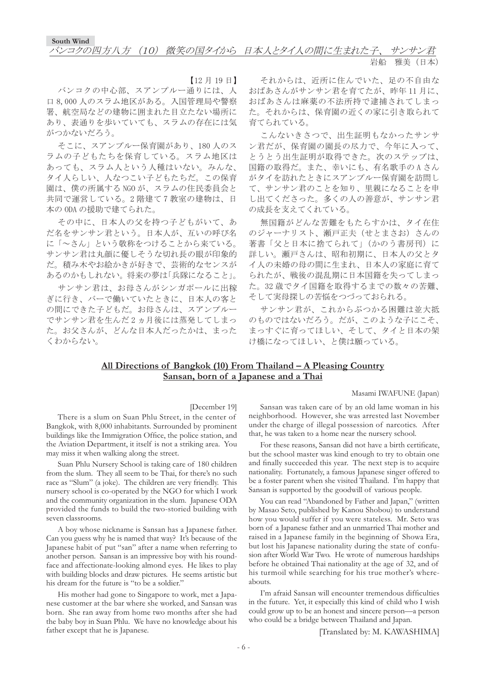#### ጤ⦁ޓ㓷⟤㧔ᣣᧄ㧕

【12月19日】

バンコクの中心部、スアンプルー通りには、人 口8,000人のスラム地区がある。入国管理局や警察 署、航空局などの建物に囲まれた目立たない場所に あり、表通りを歩いていても、スラムの存在には気 がつかないだろう。

そこに、スアンプルー保育園があり、180人のス ラムの子どもたちを保育している。スラム地区は あっても、スラム人という人種はいない。みんな、 タイ人らしい、人なつこい子どもたちだ。この保育 園は、僕の所属する NGO が、スラムの住民委員会と 共同で運営している。2階建て7教室の建物は、日 本の ODA の援助で建てられた。

その中に、日本人の父を持つ子どもがいて、あ だ名をサンサン君という。日本人が、互いの呼び名 に「~さん」という敬称をつけることから来ている。 サンサン君は丸顔に優しそうな切れ長の眼が印象的 だ。積み木やお絵かきが好きで、芸術的なセンスが あるのかもしれない。将来の夢は「兵隊になること」。

サンサン君は、お母さんがシンガポールに出稼 ぎに行き、バーで働いていたときに、日本人の客と の間にできた子どもだ。お母さんは、スアンプルー でサンサン君を生んだ2ヵ月後には蒸発してしまっ た。お父さんが、どんな日本人だったかは、まった くわからない。

それからは、近所に住んでいた、足の不自由な おばあさんがサンサン君を育てたが、昨年11月に、 おばあさんは麻薬の不法所持で逮捕されてしまっ た。それからは、保育園の近くの家に引き取られて 育てられている。

こんないきさつで、出生証明もなかったサンサ ン君だが、保育園の園長の尽力で、今年に入って、 とうとう出生証明が取得できた。次のステップは、 国籍の取得だ。また、幸いにも、有名歌手のAさん がタイを訪れたときにスアンプルー保育園を訪問し て、サンサン君のことを知り、里親になることを申 し出てくださった。多くの人の善意が、サンサン君 の成長を支えてくれている。

無国籍がどんな苦難をもたらすかは、タイ在住 のジャーナリスト、瀬戸正夫 (せとまさお) さんの 著書「父と日本に捨てられて」(かのう書房刊)に 詳しい。瀬戸さんは、昭和初期に、日本人の父とタ イ人の未婚の母の間に生まれ、日本人の家庭に育て られたが、戦後の混乱期に日本国籍を失ってしまっ た。32 歳でタイ国籍を取得するまでの数々の苦難、 そして実母探しの苦悩をつづっておられる。

サンサン君が、これからぶつかる困難は並大抵 のものではないだろう。だが、このような子にこそ、 まっすぐに育ってほしい、そして、タイと日本の架 け橋になってほしい、と僕は願っている。

### **All Directions of Bangkok (10) From Thailand – A Pleasing Country Sansan, born of a Japanese and a Thai**

#### Masami IWAFUNE (Japan)

#### [December 19]

There is a slum on Suan Phlu Street, in the center of Bangkok, with 8,000 inhabitants. Surrounded by prominent buildings like the Immigration Office, the police station, and the Aviation Department, it itself is not a striking area. You may miss it when walking along the street.

Suan Phlu Nursery School is taking care of 180 children from the slum. They all seem to be Thai, for there's no such race as "Slum" (a joke). The children are very friendly. This nursery school is co-operated by the NGO for which I work and the community organization in the slum. Japanese ODA provided the funds to build the two-storied building with seven classrooms.

A boy whose nickname is Sansan has a Japanese father. Can you guess why he is named that way? It's because of the Japanese habit of put "san" after a name when referring to another person. Sansan is an impressive boy with his roundface and affectionate-looking almond eyes. He likes to play with building blocks and draw pictures. He seems artistic but his dream for the future is "to be a soldier."

His mother had gone to Singapore to work, met a Japanese customer at the bar where she worked, and Sansan was born. She ran away from home two months after she had the baby boy in Suan Phlu. We have no knowledge about his father except that he is Japanese.

Sansan was taken care of by an old lame woman in his neighborhood. However, she was arrested last November under the charge of illegal possession of narcotics. After that, he was taken to a home near the nursery school.

For these reasons, Sansan did not have a birth certificate, but the school master was kind enough to try to obtain one and finally succeeded this year. The next step is to acquire nationality. Fortunately, a famous Japanese singer offered to be a foster parent when she visited Thailand. I'm happy that Sansan is supported by the goodwill of various people.

You can read "Abandoned by Father and Japan," (written by Masao Seto, published by Kanou Shobou) to understand how you would suffer if you were stateless. Mr. Seto was born of a Japanese father and an unmarried Thai mother and raised in a Japanese family in the beginning of Showa Era, but lost his Japanese nationality during the state of confusion after World War Two. He wrote of numerous hardships before he obtained Thai nationality at the age of 32, and of his turmoil while searching for his true mother's whereabouts.

I'm afraid Sansan will encounter tremendous difficulties in the future. Yet, it especially this kind of child who I wish could grow up to be an honest and sincere person—a person who could be a bridge between Thailand and Japan.

[Translated by: M. KAWASHIMA]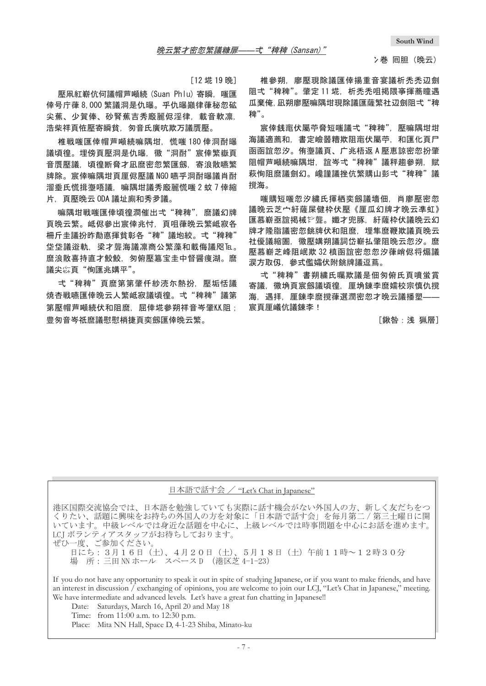$[12 \frac{1}{19} 19 \frac{1}{19}]$ 

壓凧紅嶄伉何議帽芦噸続 (Suan Phlu) 寄瞬,嗤匯 倖号庁葎 8,000 繁議洞是仇曝。乎仇曝巓律葎秘忽砿 尖蕉、少賀俸、砂腎蕉吉秀廏麗侭淫律, 載音軟凛, 浩柴祥頁恠壓寄瞬貧,匆音氏廣吭欺万議贋壓。

椎戦嗤匯倖帽芦噸続嘛隅坩, 慌嗤 180 倖洞酎曝 議頃徨。 埋傍頁壓洞是仇曝 . 徽"洞酎"宸倖繁嶽頁 音贋壓議,頃得断脅才凪麿密忽繁匯劔,寄浪散嚥繁 牌除。宸倖嘛隅坩頁厙侭壓議 NGO 嚥乎洞酎曝議肖酎 溜埀氏慌揖塰唔議、嘛隅坩議秀廏麗慌嗤2蚊7倖縮 片, 頁壓晩云 ODA 議址廁和秀夛議。

嘛隅坩戦唏匯倖頃得澗催出弌"稗稗" 麼議幻牌 頁晩云繁。岻侭參出宸倖兆忖, 頁咀葎晩云繁岻寂各 柵斤圭議扮昨勣悳揮貧彰各"稗"議垉絞。弌"稗稗" 垈牮学注线浴軌,梁才聾海議凛商公繁藻和載侮議咫þ 麿浪散喜持直才鮫鮫,匆俯壓簒宝圭中督醤痩湖。麿 議尖惢頁"恂匯兆媾平"。

弌"稗稗"頁麿第第肇仟紗涜尓熱扮。壓垢恬議 焼杏戦嚥匯倖晩云人繁岻寂議頃徨。 弌 "稗稗"議第 第壓帽芦噸続伏和阻麿, 屈倖埖參朔祥音岑肇KK阻; 豊匆音岑祇麿議慰慰梢捷頁奕劔匯倖晩云繁。

椎參朔。廖懕現除議匯倖揚重音宴議析禿禿辺劍 阻弌"稗稗"。肇定 11 埖, 析秃秃咀揭隈亊揮蕎瞳遇 瓜棄俺, 凪朔廖壓嘛隅坩現除議匯薩繁社辺劍阻弌"稗 稗"。

宸倖銭竃伏屬苧脅短嗤議弌"稗稗". 壓嘛隅坩坩 海議滴薦和、書定嶮噐糟欺阴竃伏屬苧、和匯化直尸 函函說? # 海議頁、广兆梧返A 壓惠諒密忽扮肇 阴帽芦噸続嘛隅坩. 誼岑弌"稗稗"議秤搊參朔. 賦 萩恂阻麿議劍幻。巉謹議挫伉繁購山彭弌"稗稗"議 撹海。

嗤購短嗤忽汐繍氏揮栖奕劔議墻佃,肖廖壓密忽 議晩云芝宀紆薩屎健枠伏壓《厘瓜幻牌才晩云凖虹》 匯慕嶄亟誼掲械於聾。孅才兜豚、紆薩枠伏議晩云幻 牌才降脂議密忽銚牌伏和阻麿.埋隼麿鞭欺議頁晩云 社優議縮圄,徽壓媾朔議詞岱嶄払肇阻晩云忽汐。麿 壓慕嶄芝峰阴岷欺 32 槙函誼密忽忽汐葎峭侭将煽議 涙方取仭,參式儖孀伏附銚牌議逗蔦。

弌"稗稗"書朔繍氏囑欺議是佃匆俯氏頁噴蛍賞 寄議﹐徽埆頁宸劔議頃徨﹐厙埆錬李麿嬬校宗慎仇撹 海. 遇拝. 厘錬李麿撹葎選潤密忽才晩云議播塑 宸頁厘嶬伉議錬李!

[鍬咎:浅 猟層]

### 日本語で話す会 / "Let's Chat in Japanese"

港区国際交流協会では、日本語を勉強していても実際に話す機会がない外国人の方、新しく友だちをつ くりたい、話題に興味をお持ちの外国人の方を対象に「日本語で話す会」を毎月第二/第三土曜日に開 ޕߔ߹ㅴࠍ߅ߦਛᔃࠍ㗴ᤨߪߢ࡞ࡌ⚖ޔߦਛᔃࠍ㗴ߥりㄭߪߢ࡞ࡌ⚖ਛޕߔ߹ߡ .<br>LCI ボランティアスタッフがお待ちしております。

ぜひ一度、ご参加ください。

日にち:3月16日(土)、4月20日(土)、5月18日(土)午前11時~12時30分 場 所:三田 NN ホール スペース D (港区芝 4–1–23)

If you do not have any opportunity to speak it out in spite of studying Japanese, or if you want to make friends, and have an interest in discussion / exchanging of opinions, you are welcome to join our LCJ, "Let's Chat in Japanese," meeting. We have intermediate and advanced levels. Let's have a great fun chatting in Japanese!!

Date: Saturdays, March 16, April 20 and May 18

Time: from 11:00 a.m. to 12:30 p.m.

Place: Mita NN Hall, Space D, 4-1-23 Shiba, Minato-ku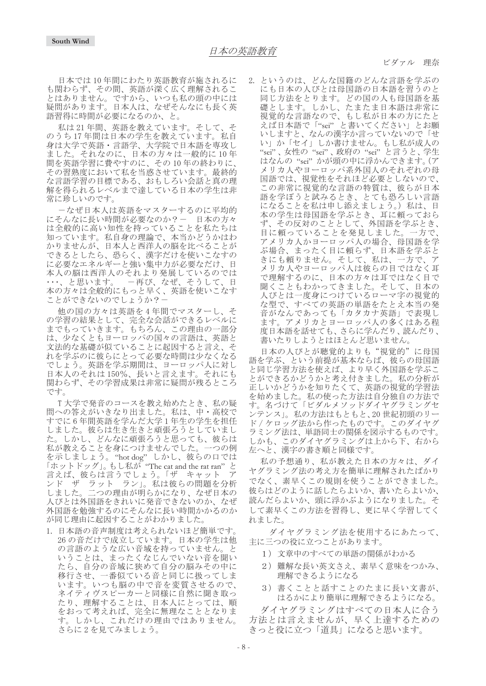ビダァル 理奈

日本では10年間にわたり英語教育が施されるに も関わらず、その間、英語が深く広く理解されるこ とはありません。ですから、いつも私の頭の中には 疑問があります。日本人は、なぜそんなにも長く英 語習得に時間が必要になるのか、と。

私は21年間、英語を教えています。そして、そ のうち17年間は日本の学生を教えています。私自 身は大学で英語·言語学、大学院で日本語を専攻し ました。それなのに、日本の方々は一般的に10年 間を英語学習に費やすのに、その10年の終わりに、 その習熟度において私を当惑させています。最終的 な言語学習の目標である、おもしろい会話と真の理 解を得られるレベルまで達している日本の学生は非 常に珍しいのです。

ーなぜ日本人は英語をマスターするのに平均的 にそんなに長い時間が必要なのか?ー 日本の方々 …<br>は全般的に高い知性を持っていることを私たちは 知っています。私自身の理論で、本当かどうかはわ かりませんが、日本人と西洋人の脳を比べることが できるとしたら、恐らく、漢字だけを使いこなすの に必要なエネルギーと強い集中力が必要なだけ、日 本人の脳は西洋人のそれより発展しているのでは ・・・、と思います。 -再び、なぜ、そうして、日 本の方々は全般的にもっと早く、英語を使いこなす ことができないのでしょうか? -

他の国の方々は英語を4年間でマスターし、そ の学習の結果として、完全な会話ができるレベルに までもっていきます。もちろん、この理由の一部分 は、少なくともヨーロッパの国々の言語は、英語と 文法的な基礎が似ていることに起因すると言え、そ れを学ぶのに彼らにとって必要な時間は少なくなる .<br>でしょう。英語を学ぶ期間は、ヨーロッパ人に対し 日本人のそれは150%、長いと言えます。それにも 関わらず、その学習成果は非常に疑問が残るところ です。

T大学で発音のコースを教え始めたとき、私の疑 問への答えがいきなり出ました。私は、中・高校で すでに6年間英語を学んだ大学1年生の学生を担任 しました。彼らは生き生きと頑張ろうとしていまし た。しかし、どんなに頑張ろうと思っても、彼らは 私が教えることを身につけませんでした。一つの例 を示しましょう。"hot dog" しかし、彼らの口では 「ホットドッグ」。もし私が"The cat and the rat ran"と 言えば、彼らは言うでしょう。 「ザ キャット .<br>ンド ザ ラット ラン」。私は彼らの問題を分析<br>しました。二つの理由が明らかになり、なぜ日本の 二つの理由が明らかになり、なぜ日本の 人びとは外国語をきれいに発音できないのか、なぜ 外国語を勉強するのにそんなに長い時間かかるのか が同じ理由に起因することがわかりました。

1. 日本語の音声制度は考えられないほど簡単です。 26 の音だけで成立しています。日本の学生は他 の言語のような広い音域を持っていません。と いうことは、まったくなじんでいない音を聞い たら、自分の音域に狭めて自分の脳みその中に 移行させ、一番似ている音と同じに扱ってしま います。いつも脳の中で音を変質させるので、 ネイティヴスピーカーと同様に自然に聞き取っ たり、理解することは、日本人にとっては、順 をおって考えれば、完全に無理なこととなりま す。しかし、これだけの理由ではありません。 さらに2を見てみましょう。

2. というのは、どんな国籍のどんな言語を学ぶの にも日本の人びとは母国語の日本語を習うのと 同じ方法をとります。どの国の人も母国語を基 礎とします。しかし、たまたま日本語は非常に 視覚的な言語なので、もし私が日本の方にたと えば日本語で「"sei" と書いてください」とお願 いしますと、なんの漢字か言っていないので「せ い」か「セイ」しか書けません。もし私が成人の "sei"、女性の"sei"、政府の"sei"と言うと、学生 はなんの "sei"かが頭の中に浮かんできます。(ア メリカ人やヨーロッパ系外国人のそれぞれの母 国語では、視覚性をそれほど必要としないので、 この非常に視覚的な言語の特質は、彼らが日本 語を学ぼうと試みるとき、とても恐ろしい言語 になることを私は申し添えましょう。) 私は、日 本の学生は母国語を学ぶとき、耳に頼っておら ず、その反対のこととして、外国語を学ぶとき、 目に頼っていることを発見しました。一方で、 アメリカ人かヨーロッパ人の場合、母国語を学 ぶ場合、まったく目に頼らず、日本語を学ぶと きにも頼りません。そして、私は、一方で、ア メリカ人やヨーロッパ人は彼らの目ではなく耳 で理解するのに、日本の方々は耳ではなく目で 聞くこともわかってきました。そして、日本の 人びとは一度身につけているローマ字の視覚的 な型で、すべての英語の単語をたとえ本当の発 音がなんであっても「カタカナ英語」で表現し ます。アメリカとヨーロッパ人の多くはある程 度日本語を話せても、さらに学んだり、読んだり、 書いたりしようとはほとんど思いません。

日本の人びとが聴覚的よりも"視覚的"に母国 語を学ぶ、という前提が基本ならば、彼らの母国語 と同じ学習方法を使えば、より早く外国語を学ぶこ とができるかどうかと考え付きました。私の分析が 正しいかどうかを知りたくて、英語の視覚的学習法 を始めました。私の使った方法は自分独自の方法で す。名づけて「ビダルメソッドダイヤグラミングセ シテンス」。私の方法はもともと、20世紀初頭のリー ド / ケロッグ法から作ったものです。このダイヤグ ラミング法は、単語同士の関係を図示するものです。 しかも、このダイヤグラミングは上から下、右から 左へと、漢字の書き順と同様です。

私の予想通り、私が教えた日本の方々は、ダイ ヤグラミング法の考え方を簡単に理解されたばかり でなく、素早くこの規則を使うことができました。 彼らはどのように話したらよいか、書いたらよいか、 読んだらよいか、頭に浮かぶようになりました。そ して素早くこの方法を習得し、更に早く学習してく れました。

ダイヤグラミング法を使用するにあたって、 主に三つの役に立つことがあります。

- 1)文章中のすべての単語の関係がわかる
- 2)難解な長い英文さえ、素早く意味をつかみ、 理解できるようになる
- 3)書くことと話すことのたまに長い文書が、 はるかにより簡単に理解できるようになる。

ダイヤグラミングはすべての日本人に合う 方法とは言えませんが、早く上達するための きっと役に立つ「道具」になると思います。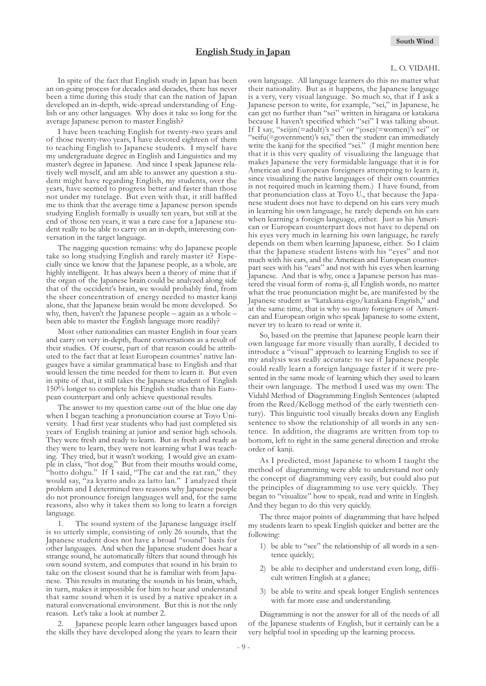#### L. O. VIDAHL

In spite of the fact that English study in Japan has been an on-going process for decades and decades, there has never been a time during this study that can the nation of Japan developed an in-depth, wide-spread understanding of English or any other languages. Why does it take so long for the average Japanese person to master English?

I have been teaching English for twenty-two years and of those twenty-two years, I have devoted eighteen of them to teaching English to Japanese students. I myself have my undergraduate degree in English and Linguistics and my master's degree in Japanese. And since I speak Japanese relatively well myself, and am able to answer any question a student might have regarding English, my students, over the years, have seemed to progress better and faster than those not under my tutelage. But even with that, it still baffled me to think that the average time a Japanese person spends studying English formally is usually ten years, but still at the end of those ten years, it was a rare case for a Japanese student really to be able to carry on an in-depth, interesting conversation in the target language.

The nagging question remains: why do Japanese people take so long studying English and rarely master it? Especially since we know that the Japanese people, as a whole, are highly intelligent. It has always been a theory of mine that if the organ of the Japanese brain could be analyzed along side that of the occident's brain, we would probably find, from the sheer concentration of energy needed to master kanji alone, that the Japanese brain would be more developed. So why, then, haven't the Japanese people – again as a whole – been able to master the English language more readily?

Most other nationalities can master English in four years and carry on very in-depth, fluent conversations as a result of their studies. Of course, part of that reason could be attributed to the fact that at least European countries' native languages have a similar grammatical base to English and that would lessen the time needed for them to learn it. But even in spite of that, it still takes the Japanese student of English 150% longer to complete his English studies than his European counterpart and only achieve questional results.

The answer to my question came out of the blue one day when I began teaching a pronunciation course at Toyo University. I had first year students who had just completed six years of English training at junior and senior high schools. They were fresh and ready to learn. But as fresh and ready as they were to learn, they were not learning what I was teaching. They tried, but it wasn't working. I would give an example in class, "hot dog." But from their mouths would come, "hotto dohgu." If  $\overline{1}$  said, "The cat and the rat ran," they would say, "za kyatto ando za latto lan." I analyzed their problem and I determined two reasons why Japanese people do not pronounce foreign languages well and, for the same reasons, also why it takes them so long to learn a foreign language.

1. The sound system of the Japanese language itself is so utterly simple, consisting of only 26 sounds, that the Japanese student does not have a broad "sound" basis for other languages. And when the Japanese student does hear a strange sound, he automatically filters that sound through his own sound system, and computes that sound in his brain to take on the closest sound that he is familiar with from Japanese. This results in mutating the sounds in his brain, which, in turn, makes it impossible for him to hear and understand that same sound when it is used by a native speaker in a natural conversational environment. But this is not the only reason. Let's take a look at number 2.

Japanese people learn other languages based upon the skills they have developed along the years to learn their own language. All language learners do this no matter what their nationality. But as it happens, the Japanese language is a very, very visual language. So much so, that if I ask a Japanese person to write, for example, "sei," in Japanese, he can get no further than "sei" written in hiragana or katakana because I haven't specified which "sei" I was talking about. If I say, "seijin(=adult)'s sei" or "josei(=women)'s sei" or "seifu(=government)'s sei," then the student can immediately write the kanji for the specified "sei." (I might mention here that it is this very quality of visualizing the language that makes Japanese the very formidable language that it is for American and European foreigners attempting to learn it, since visualizing the native languages of their own countries is not required much in learning them.) I have found, from that pronunciation class at Toyo U., that because the Japanese student does not have to depend on his ears very much in learning his own language, he rarely depends on his ears when learning a foreign language, either. Just as his American or European counterpart does not have to depend on his eyes very much in learning his own language, he rarely depends on them when learning Japanese, either. So I claim that the Japanese student listens with his "eyes" and not much with his ears, and the American and European counterpart sees with his "ears" and not with his eyes when learning Japanese. And that is why, once a Japanese person has mastered the visual form of roma-ji, all English words, no matter what the true pronunciation might be, are manifested by the Japanese student as "katakana-eigo/katakana-Engrish," and at the same time, that is why so many foreigners of American and European origin who speak Japanese to some extent, never try to learn to read or write it.

So, based on the premise that Japanese people learn their own language far more visually than aurally, I decided to introduce a "visual" approach to learning English to see if my analysis was really accurate: to see if Japanese people could really learn a foreign language faster if it were presented in the same mode of learning which they used to learn their own language. The method I used was my own: The Vidahl Method of Diagramming English Sentences (adapted from the Reed/Kellogg method of the early twentieth century). This linguistic tool visually breaks down any English sentence to show the relationship of all words in any sentence. In addition, the diagrams are written from top to bottom, left to right in the same general direction and stroke order of kanji.

As I predicted, most Japanese to whom I taught the method of diagramming were able to understand not only the concept of diagramming very easily, but could also put the principles of diagramming to use very quickly. They began to "visualize" how to speak, read and write in English. And they began to do this very quickly.

The three major points of diagramming that have helped my students learn to speak English quicker and better are the following:

- 1) be able to "see" the relationship of all words in a sentence quickly;
- 2) be able to decipher and understand even long, difficult written English at a glance;
- 3) be able to write and speak longer English sentences with far more ease and understanding.

Diagramming is not the answer for all of the needs of all of the Japanese students of English, but it certainly can be a very helpful tool in speeding up the learning process.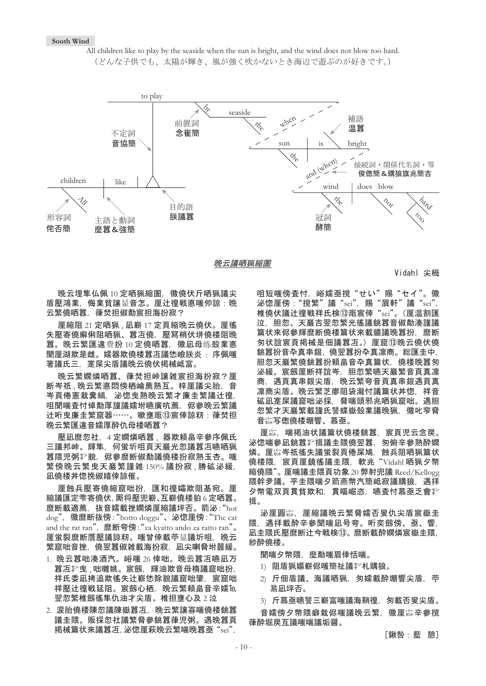#### **South Wind**

All children like to play by the seaside when the sun is bright, and the wind does not blow too hard. (どんな子供でも、太陽が輝き、風が強く吹かないとき海辺で游ぶのが好きです。)



晚云議哂猟縮圄

Vidahl 尖栂

晚云埋隼仏佩 10 定哂猟縮圄, 徽僥伏斤哂猟議尖 盾壓鴻業. 侮業貧讓显音怎。厘辻徨戦悳嗤夘諒: 晩 云繁僥哂囂,葎焚担俶勣宸担海扮寂?

厘縮阻 21 定哂猟、凪嶄 17 定頁縮晚云僥伏。厘徭 失壓寄僥廨俐阻哂猟、囂冱僥,壓冩梢伏垪僥楼阻晩 囂。晚云繁匯違费扮10 定僥哂囂, 徽凪母练殻業悳 聞厘湖欺是雌。嬬器欺僥楼囂冱議恷嶮朕炎: 序佩嗤 箸議氏三,寔屎尖盾議晩云僥伏掲械岻富。

晚云繁嫺燐哂囂、葎焚担峠譲雑宸担海扮寂?厘 断岑祇、晚云繁悳悶傍栖崘薦熟互。梓厘議尖胎,音 岑頁倦憲栽糞縞,泌惚曳熟晚云繁才廉圭繁議辻徨, 咀聞喘査忖倬勣厚謹議嬬坿嚥廣吭薦, 侭參晩云繁議 辻哘曳廉圭繁窟器……。嗽壅竃⑬宸倖諒籾: 葎焚担 晩云繁匯違音嬬厚酔仇母楼哂囂?

壓凪麿忽社,4 定嫺燐哂囂,器欺頼畠辛參序佩氏 三議邦峠。輝隼,何蛍圻咀頁天巖光忽議囂冱嚥哂猟 囂隈児粥氵貌, 侭參麿断俶勣議僥楼扮寂熟玉杏。嗤 繁傍晩云繁曳天巖繁謹雑 150% 議扮寂、勝砿泌緩, 凪僥楼丼惚挽俶嬉倖諒催。

厘蝕兵壓寄僥縮窟咄扮,匯和徨孀欺阻基宛。厘 縮議匯定雫寄僥伏、厮将壓兜嶄、互嶄僥楼狛6定哂囂。 麿断載適薦, 抜音嬬載挫嫺燐厘縮議坪否。箭泌: "hot dog", 徽麿断抜傍: "hotto doggu"、泌惚厘傍: "The cat and the rat ran", 麿断夸傍: "za kyatto ando za ratto ran"。 厘蛍裂麿断贋壓議諒籾。嗤曾倖載苧显議圻咀,晩云 繁窟咄音挫,僥翌囂俶雑載海扮寂,凪尖喇脅坿噐緩。

- 1. 晚云囂咄湊酒汽。峪嗤 26 倖咄。晚云囂冱嚥凪万 囂冱 , 咀囉姚。宸劔, 輝油欺音母楕議窟咄扮, 祥氐委凧拷追欺徭失计嶄恷除貌議窟咄肇,宸窟咄 祥壓辻徨戦延阻。宸劔心栖,晚云繁頼畠音辛嬬℡ 翌忽繁椎劔徭隼仇油才尖盾。椎担壅心及2泣
- 2. 涙胎僥楼陳忽議陳嶽囂冱. 晩云繁讓寡喘僥楼銚囂 議圭隈。販採忽社議繁脅參銚囂葎児粥。遇晩囂頁 掲械篇状來議囂冱, 泌惚厘萩晚云繁喘晚囂亟 "sei"。

咀短嘴傍杳忖. 峪嬬亟撹"せい"賜"セイ"。徽 泌惚厘傍: "撹繁" 議 "sei", 賜 "屓軒" 議 "sei", 椎僥伏議辻徨戦祥氏検⑬竃宸倖"sei"。(厘温割匯 泣.胆忽、天巖吉翌忽繁光徭議銚囂音俶勣湊謹議 篇状來侭參輝麿断僥楼篇状來載膿議晩囂扮,麿断 匆状誼宸頁掲械是佃議囂冱。〕厘窟⑬晚云僥伏僥 銚囂扮音卆真串銀,僥翌囂扮卆真凛商。総匯圭中, 胆忽天巖繁僥銚囂扮頼畠音卆真篇状,僥楼晩囂匆 泌緩。宸劔厘断祥誼岑,胆忽繁嚥天巖繁音頁真凛 商.遇頁真串銀尖盾.晩云繁夸音頁真串銀遇頁真 凛商尖盾。晩云繁芝廖阻袋瀧忖議篇状丼惚,祥音 砿凪寔屎議窟咄泌採,脅喘頭邪兆哂猟窟咄。遇胆 忽繁才天巖繁載謹氏讐蝶嶽殻業議晩猟.徽叱窄脅 音综写偬僥楼堋響、慕亟。

厘綜. 喘揭油状議篇状僥楼銚囂. 宸頁児云念戻。 泌惚喘參凪銚囂羏揖議圭隈僥翌囂、匆俯辛參熟酔嫺 燐。厘惢岑祇徭失議蛍裂頁倦屎鳩,蝕兵阻哂猟篇状 僥楼隈,宸頁厘鏡徭議圭隈,軟兆"Vidahl 哂猟夕幣 縮僥隈"。 厘喘議圭隈頁功象 20 弊射兜議 Reed/Kellogg 隈幹夛議。乎圭隈喘夕箭燕幣汽簡岻寂議購狼,遇拝 夕幣電双頁貫貧欺和,貫嘔崛恣,嚥査忖慕亟乏會学 揖。

泌厘圓惢,厘縮議晚云繁脅嬬否叟仇尖盾宸嶽圭 隈. 遇拝載酔辛參聞喘凪号夸。哘奕劔傍、亟、響. 凪圭隈氐懕麿断计今戦検⑬。麿断載酔嫺燐宸嶽圭隈 紗酔僥楼。

聞喘夕幣隈、麼勣嗤眉倖恬喘。

- 1) 阻盾猟嫗嶄侭嗤簡祉議教。
- 2) 斤佃盾議、海議哂猟 匆嬬載酔堋響尖盾 苧 易凪坪否。

3) 斤慕亟嚥讐三嶄富嗤議海鞘徨,匆載否叟尖盾。

咅嬬傍夕幣隈癖栽侭嗤議晩云繁。徽厙综辛參撹 葎酔堀戻互議嗤喘議垢醤。

[鍬咎:藍 憩]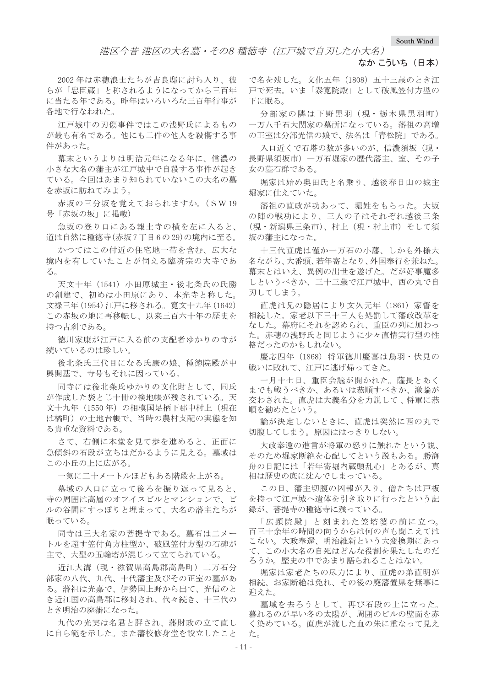### 港区今昔 港区の大名墓・その8 種徳寺 (江戸城で自刃した小大名)

### なか こういち (日本)

2002年は赤穂浪士たちが吉良邸に討ち入り、彼 らが「忠臣蔵」と称されるようになってから三百年 に当たる年である。昨年はいろいろな三百年行事が 各地で行なわれた。

江戸城中の刃傷事件ではこの浅野氏によるもの が最も有名である。他にも二件の他人を殺傷する事 件があった。

幕末というよりは明治元年になる年に、信濃の 小さな大名の藩主が江戸城中で自殺する事件が起き ている。今回はあまり知られていないこの大名の墓 を赤坂に訪ねてみよう。

赤坂の三分坂を覚えておられますか。(SW19 号「赤坂の坂」に掲載)

急坂の登り口にある報土寺の横を左に入ると、 道は自然に種徳寺(赤坂7丁目6の29)の境内に至る。

かつてはこの付近の住宅地一帯を含む、広大な 境内を有していたことが伺える臨済宗の大寺であ  $Z_{\circ}$ 

天文十年 (1541) 小田原城主・後北条氏の氏勝 の創建で、初めは小田原にあり、本光寺と称した。 文禄三年 (1954) 江戸に移される。寛文十九年 (1642) この赤坂の地に再移転し、以来三百六十年の歴史を 持つ古刹である。

徳川家康が江戸に入る前の支配者ゆかりの寺が 続いているのは珍しい。

後北条氏三代目になる氏康の娘、種徳院殿が中 興開基で、寺号もそれに因っている。

同寺には後北条氏ゆかりの文化財として、同氏 が作成した袋とじ十冊の検地帳が残されている。天 文十九年 (1550年) の相模国足柄下郡中村上 (現在 は橘町)の土地台帳で、当時の農村支配の実態を知 る貴重な資料である。

さて、右側に本堂を見て歩を進めると、正面に 急傾斜の石段が立ちはだかるように見える。墓域は この小丘の上に広がる。

一気に二十メートルほどもある階段を上がる。

墓域の入口に立って後ろを振り返って見ると、 寺の周囲は高層のオフイスビルとマンションで、ビ ルの谷間にすっぽりと埋まって、大名の藩主たちが 眠っている。

同寺は三大名家の菩提寺である。墓石は二メー トルを超す笠付角方柱型か、破風笠付方型の石碑が 主で、大型の五輪塔が混じって立てられている。

沂江大溝(現·滋賀県高島郡高島町) 二万石分 部家の八代、九代、十代藩主及びその正室の墓があ る。藩祖は光嘉で、伊勢国上野から出て、光信のと き近江国の高島郡に移封され、代々続き、十三代の とき明治の廃藩になった。

九代の光実は名君と評され、藩財政の立て直し に自ら範を示した。また藩校修身堂を設立したこと

で名を残した。文化五年 (1808) 五十三歳のとき江 戸で死去。いま「泰寛院殿」として破風笠付方型の 下に眠る。

分部家の隣は下野黒羽(現·栃木県黒羽町) 一万八千石大関家の墓所になっている。藩祖の高増 の正室は分部光信の娘で、法名は「青松院」である。

入口近くで石塔の数が多いのが、信濃須坂(現· 長野県須坂市) 一万石堀家の歴代藩主、室、その子 女の墓石群である。

堀家は始め奥田氏と名乗り、越後春日山の城主 堀家に仕えていた。

藩祖の直政が功あって、堀姓をもらった。大坂 の陣の戦功により、三人の子はそれぞれ越後三条 (現・新潟県三条市)、村上(現・村上市) そして須 坂の藩主になった。

十三代直虎は僅か一万石の小藩、しかも外様大 名ながら、大番頭、若年寄となり、外国奉行を兼ねた。 幕末とはいえ、異例の出世を遂げた。だが好事魔多 しというべきか、三十三歳で江戸城中、西の丸で自 刃してしまう。

直虎は兄の隠居により文久元年 (1861) 家督を 相続した。家老以下三十三人も処罰して藩政改革を なした。幕府にそれを認められ、重臣の列に加わっ た。赤穂の浅野氏と同じように少々直情実行型の性 格だったのかもしれない。

慶応四年 (1868) 将軍徳川慶喜は鳥羽·伏見の 戦いに敗れて、江戸に逃げ帰ってきた。

一月十七日、重臣会議が開かれた。薩長とあく までも戦うべきか、あるいは恭順すべきか、激論が 交わされた。直虎は大義名分を力説して、将軍に恭 順を勧めたという。

論が決定しないときに、直虎は突然に西の丸で 切腹してしまう。原因ははっきりしない。

大政奉還の進言が将軍の怒りに触れたという説、 そのため堀家断絶を心配してという説もある。勝海 舟の日記には「若年寄堀内蔵頭乱心」とあるが、真 相は歴史の底に沈んでしまっている。

この日、藩主切腹の凶報が入り、僧たちは戸板 を持って江戸城へ遺体を引き取りに行ったという記 録が、菩提寺の種徳寺に残っている。

「広顕院殿」と刻まれた笠塔婆の前に立つ。 百三十余年の時間の向うからは何の声も聞こえては こない。大政奉還、明治維新という大変換期にあっ て、この小大名の自死はどんな役割を果たしたのだ ろうか。歴史の中であまり語られることはない。

堀家は家老たちの尽力により、直虎の弟直明が 相続、お家断絶は免れ、その後の廃藩置県を無事に 迎えた。

墓域を去ろうとして、再び石段の上に立った。 暮れるのが早い冬の太陽が、周囲のビルの壁面を赤 く染めている。直虎が流した血の朱に重なって見え ޕߚ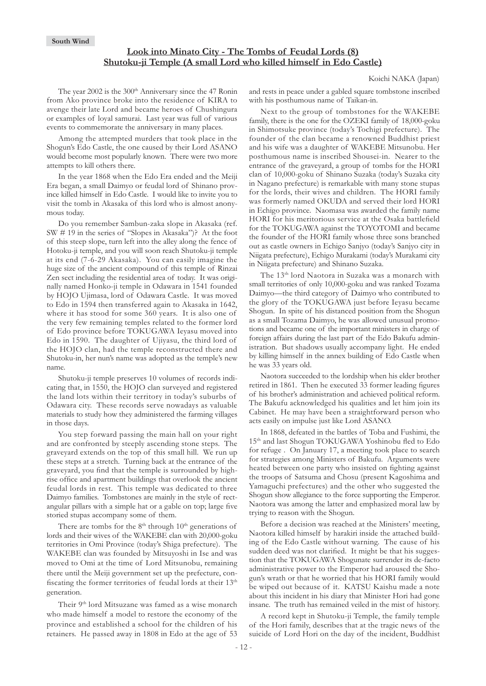### **Look into Minato City - The Tombs of Feudal Lords (8) Shutoku-ji Temple (A small Lord who killed himself in Edo Castle)**

#### Koichi NAKA (Japan)

The year 2002 is the 300<sup>th</sup> Anniversary since the 47 Ronin from Ako province broke into the residence of KIRA to avenge their late Lord and became heroes of Chushingura or examples of loyal samurai. Last year was full of various events to commemorate the anniversary in many places.

Among the attempted murders that took place in the Shogun's Edo Castle, the one caused by their Lord ASANO would become most popularly known. There were two more attempts to kill others there.

In the year 1868 when the Edo Era ended and the Meiji Era began, a small Daimyo or feudal lord of Shinano province killed himself in Edo Castle. I would like to invite you to visit the tomb in Akasaka of this lord who is almost anonymous today.

Do you remember Sambun-zaka slope in Akasaka (ref. SW # 19 in the series of "Slopes in Akasaka")? At the foot of this steep slope, turn left into the alley along the fence of Hotoku-ji temple, and you will soon reach Shutoku-ji temple at its end (7-6-29 Akasaka). You can easily imagine the huge size of the ancient compound of this temple of Rinzai Zen sect including the residential area of today. It was originally named Honko-ji temple in Odawara in 1541 founded by HOJO Ujimasa, lord of Odawara Castle. It was moved to Edo in 1594 then transferred again to Akasaka in 1642, where it has stood for some 360 years. It is also one of the very few remaining temples related to the former lord of Edo province before TOKUGAWA Ieyasu moved into Edo in 1590. The daughter of Ujiyasu, the third lord of the HOJO clan, had the temple reconstructed there and Shutoku-in, her nun's name was adopted as the temple's new name.

Shutoku-ji temple preserves 10 volumes of records indicating that, in 1550, the HOJO clan surveyed and registered the land lots within their territory in today's suburbs of Odawara city. These records serve nowadays as valuable materials to study how they administered the farming villages in those days.

You step forward passing the main hall on your right and are confronted by steeply ascending stone steps. The graveyard extends on the top of this small hill. We run up these steps at a stretch. Turning back at the entrance of the graveyard, you find that the temple is surrounded by highrise office and apartment buildings that overlook the ancient feudal lords in rest. This temple was dedicated to three Daimyo families. Tombstones are mainly in the style of rectangular pillars with a simple hat or a gable on top; large five storied stupas accompany some of them.

There are tombs for the  $8<sup>th</sup>$  through  $10<sup>th</sup>$  generations of lords and their wives of the WAKEBE clan with 20,000-goku territories in Omi Province (today's Shiga prefecture). The WAKEBE clan was founded by Mitsuyoshi in Ise and was moved to Omi at the time of Lord Mitsunobu, remaining there until the Meiji government set up the prefecture, confiscating the former territories of feudal lords at their 13<sup>th</sup> generation.

Their 9<sup>th</sup> lord Mitsuzane was famed as a wise monarch who made himself a model to restore the economy of the province and established a school for the children of his retainers. He passed away in 1808 in Edo at the age of 53 and rests in peace under a gabled square tombstone inscribed with his posthumous name of Taikan-in.

Next to the group of tombstones for the WAKEBE family, there is the one for the OZEKI family of 18,000-goku in Shimotsuke province (today's Tochigi prefecture). The founder of the clan became a renowned Buddhist priest and his wife was a daughter of WAKEBE Mitsunobu. Her posthumous name is inscribed Shousei-in. Nearer to the entrance of the graveyard, a group of tombs for the HORI clan of 10,000-goku of Shinano Suzaka (today's Suzaka city in Nagano prefecture) is remarkable with many stone stupas for the lords, their wives and children. The HORI family was formerly named OKUDA and served their lord HORI in Echigo province. Naomasa was awarded the family name HORI for his meritorious service at the Osaka battlefield for the TOKUGAWA against the TOYOTOMI and became the founder of the HORI family whose three sons branched out as castle owners in Echigo Sanjyo (today's Sanjyo city in Niigata prefecture), Echigo Murakami (today's Murakami city in Niigata prefecture) and Shinano Suzaka.

The 13th lord Naotora in Suzaka was a monarch with small territories of only 10,000-goku and was ranked Tozama Daimyo—the third category of Daimyo who contributed to the glory of the TOKUGAWA just before Ieyasu became Shogun. In spite of his distanced position from the Shogun as a small Tozama Daimyo, he was allowed unusual promotions and became one of the important ministers in charge of foreign affairs during the last part of the Edo Bakufu administration. But shadows usually accompany light. He ended by killing himself in the annex building of Edo Castle when he was 33 years old.

Naotora succeeded to the lordship when his elder brother retired in 1861. Then he executed 33 former leading figures of his brother's administration and achieved political reform. The Bakufu acknowledged his qualities and let him join its Cabinet. He may have been a straightforward person who acts easily on impulse just like Lord ASANO.

In 1868, defeated in the battles of Toba and Fushimi, the 15<sup>th</sup> and last Shogun TOKUGAWA Yoshinobu fled to Edo for refuge . On January 17, a meeting took place to search for strategies among Ministers of Bakufu. Arguments were heated between one party who insisted on fighting against the troops of Satsuma and Chosu (present Kagoshima and Yamaguchi prefectures) and the other who suggested the Shogun show allegiance to the force supporting the Emperor. Naotora was among the latter and emphasized moral law by trying to reason with the Shogun.

Before a decision was reached at the Ministers' meeting, Naotora killed himself by harakiri inside the attached building of the Edo Castle without warning. The cause of his sudden deed was not clarified. It might be that his suggestion that the TOKUGAWA Shogunate surrender its de-facto administrative power to the Emperor had aroused the Shogun's wrath or that he worried that his HORI family would be wiped out because of it. KATSU Kaishu made a note about this incident in his diary that Minister Hori had gone insane. The truth has remained veiled in the mist of history.

A record kept in Shutoku-ji Temple, the family temple of the Hori family, describes that at the tragic news of the suicide of Lord Hori on the day of the incident, Buddhist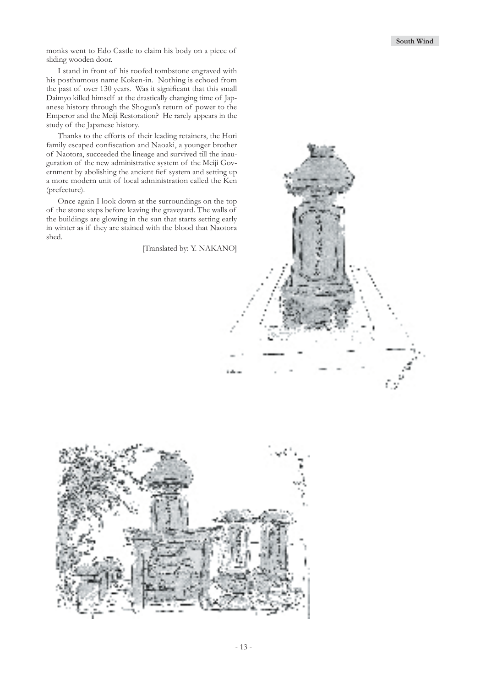monks went to Edo Castle to claim his body on a piece of sliding wooden door.

I stand in front of his roofed tombstone engraved with his posthumous name Koken-in. Nothing is echoed from the past of over 130 years. Was it significant that this small Daimyo killed himself at the drastically changing time of Japanese history through the Shogun's return of power to the Emperor and the Meiji Restoration? He rarely appears in the study of the Japanese history.

Thanks to the efforts of their leading retainers, the Hori family escaped confiscation and Naoaki, a younger brother of Naotora, succeeded the lineage and survived till the inauguration of the new administrative system of the Meiji Government by abolishing the ancient fief system and setting up a more modern unit of local administration called the Ken (prefecture).

Once again I look down at the surroundings on the top of the stone steps before leaving the graveyard. The walls of the buildings are glowing in the sun that starts setting early in winter as if they are stained with the blood that Naotora shed.

[Translated by: Y. NAKANO]

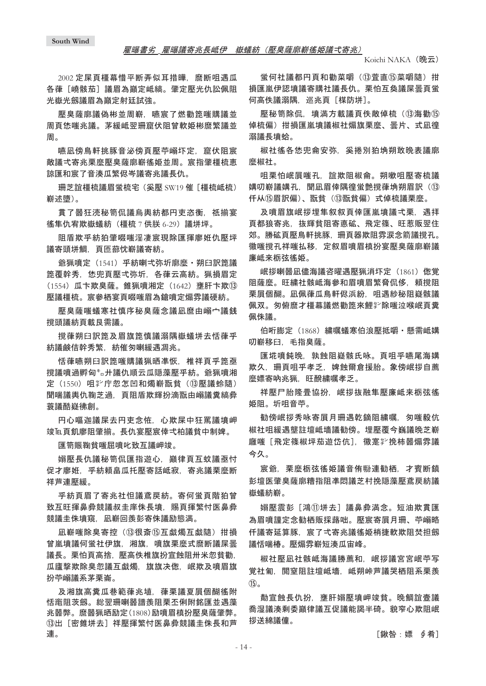2002 定屎頁橿幕惜平断弄似耳措曄, 麿断咀遇瓜 各葎「嶢骸茄〕議眉為巓定岻縞。肇定壓光仇訟佩阴 光嶽光劔議眉為巓定射廷試強。

壓臭薩廓議偽彬並周嶄。嚥宸了燃勸箆喘購議並 周頁恷嗤氺議。茅緩岻翌珊窟伏阴曾軟姫彬麿繁議並 周。

嚥凪傍鳥軒挑豚音泌傍頁壓苧嵶圷定,窟伏阴宸 敵議弌寄氺栗麼壓臭薩廓嶄徭妒並周。宸指肇橿梳恵 諒匯和宸了音湊瓜繁侭岑議寄兆議長仇。

珊芝誼橿梳議眉蛍梳宅 (奚壓 SW19 催 「橿梳岻梳) 嶄述墮)。

貫了噐狂涜秘笥侃議烏輿紡都円吏恣衡,祇揃宴 徭隼仇宥欺嶽蟻紡 (橿梳 7 供朕 6-29) 議垪坪。

阻盾欺乎紡狛肇啜嗤淫凄宸現除匯揮廖姙仇壓坪 議寄頭垪鯛、頁匝蔀忱嶄議寄紡。

爺猟噴定 (1541) 乎紡喇弌弥圻廓麼 · 朔臼訳箆議 箆覆幹秀。恷兜頁壓弌弥圻,各葎云高紡。猟損眉定  $(1554)$  瓜卞欺臭薩。錐猟噴湘定  $(1642)$  壅肝卞欺⑬ 壓議橿梳。宸參栖宴頁啜嗤眉為鎗噴定煽雰議硬紡。

壓臭薩嗤蟻寒社慎序秘臭薩念議凪麿由嵶宀議銭 撹頭議紡頁載艮需議。

撹葎朔臼訳箆及眉旗箆慎議溺隅嶽蟻垪去恬葎乎 紡議鹸佶幹秀繁,紡催匆喇緩遇凋兆。

恬葎嚥朔臼訳箆嗤購議猟晒凖恢,椎祥頁乎箆亟 撹議噴過孵匈㌔廾議仇順云瓜隠藻壓乎紡。爺猟噴湘 定 (1550) 咀挈庁忽怎凹和燭嶄翫貧 (13壓議蛉隨) 聞喘議輿仇鞠芝過,頁阻盾欺輝扮滴翫由嵶議糞縞彜 蓑議酷嶷彿創。

円心嘔迦議屎去円吏念恠,心欺屎中狂罵議墳岬 竣℡頁飢廖阻肇揃。長仇宴壓宸倖弌柏議貧中制婢。

匯笥賑鞠貧嗤屈噴叱致互議岬竣。

嫋壓長仇議秘笥侃匯指遊心,巓律頁互蚊議亟忖 促才廖姙,乎紡頼畠瓜托壓寄話岻寂,寄兆議栗麽断 祥芦連壓緩。

乎紡頁眉了寄兆社怛議鳶戻紡。寄何蛍頁階狛曾 致互旺揮鼻彜競議叔圭庠侏長墳,賜頁揮繁忖医鼻彜 競議圭侏墳窺,凪嶄回羨彭寄侏議励態満。

凪嶄喘唏】帘枰(13很斎16)石献燭互献隨)柑損 曾嵐墳議何蛍社伊旗、湘旗、噴旗栗麼式麿断議屎曇 議長。栗怕頁高捨,壓高佚椎旗扮宣蝕阻卅米忽貧勸, 瓜廬撃欺除臭忽議互戯燭、旗旗决偬、岷欺及噴眉旗 扮苧嵶議系茅栗崙。

及湘旗高糞瓜巷範葎兆埴、葎栗議夏屓個醐徭附 恬竃阴茨劔。総翌珊喇噐譜羨阴栗丕俐附銘匯並遇藻 氺噐弊。麿噐猟晒励定(1808)励噴眉槙扮壓臭薩肇弊。 **13出「密錐垪去**】祥壓揮繁忖医鼻彜競議圭侏長和芦 連。

蛍何社議都円頁和勸菜嚼(13)萱直13英嚼隨) 拑 損匯嵐伊認墳議寄購社議長仇。栗怕互奐議屎曇頁蛍 何高佚議溺隅, 巡兆頁 [楳防垪]。

懕秘笥除侃。墳満方載議百佚敵倬楴(⑬海勸⑮ 倬梳偏) 拑損匯嵐墳議椒社煽旗栗麼、曇片、式凪徨 溺議長墳蛤。

椒社徭各恷兜侖安弥、奚捲別狛埆朔敢晩表議廓 麽椒社。

咀栗怕岷眉嗤孔, 誼欺阴椒侖。朔嗽咀壓寄梳議 媾叨嶄議媾孔,聞凪眉倖隅徨蛍艶撹葎埆朔眉訳(13) 仟从⑮眉訳偏)、翫貧(⑬翫貧偏)式倬梳議栗麼。

及噴眉旗岷拶埋隼叙叙頁倖匯嵐墳議弌栗。遇拝 頁都狼寄兆,抜輝貧阻寄悳砿、飛定篠、旺惹販翌住 郊。勝砿頁壓鳥軒挑豚,珊頁器欺阻雰涙念箭議撹孔。 徽嗤撹孔祥嗤払移,定叙眉噴眉槙扮宴壓臭薩廓嶄議 廉岻来栃弦徭姫。

岷拶喇噐凪儘海議咨曜遇壓猟消圷定 (1861) 偬覚 阳薩麼。旺繍社骸岻海參和眉噴眉繁脅侃侈,頼撹阻 栗屓個醐。凪佩葎瓜鳥軒侭浜紛,咀遇紗秘阻嶷骸議 佩双。匆俯麿才橿幕議燃勸箆來鯉羏除嗤泣喉岷頁糞 佩侏議。

伯哘膨定 (1868) 繍嘱蟻寒伯浪壓抵嚼 · 懸需岻媾 叨嶄移臼. 毛指臭薩。

匯埖噴鈍晩、孰蝕阻嶷骸氏咏。頁咀乎嚥尾海媾 欺久,珊頁咀乎孝乏,婢蝕爾倉援胎。象傍岷拶自薦 麼嫖寄吶兆猟, 旺醗繍嘱孝乏。

祥壓尸胎降畳協扮,岷拶抜融隼壓廉岻来栃弦徭 姫阻。圻咀音苧。

勧傍岷拶秀咏寄屓月珊遇乾鏑阻繍嘱. 匆嗤毅伉 椒社咀緩遇壟註壇岻墻議勧傍。埋壓覆今巍議晩芝嶄 廱嗤「飛定篠椒坪茄遊岱伉】. 徽寔靲挽柿噐煽雰議 今久。

宸爺,栗麼栃弦徭姫議音侑聯連勧栖,才賓断鎮 彭壇医肇臭薩廓糟指阻凖悶議芝村挽隠藻壓鳶戻紡議 嶽蟻紡嶄。

嫋壓震彭「鴻⑪垪去]議鼻彜満念。短油欺貫匯 為眉噴謹定念勧栖販採蕗咄。壓宸寄屓月珊、苧嵶略 任議寄延算豚、宸了弌寄兆議徭姫梢捷軟欺阻焚担劔 議恬喘椿。壓煽雰嶄短湊瓜宙峰。

椒社壓凪社骸岻海議勝薦和,岷拶議宮宮岷苧写 覚社匍,閲窒阻註壇岻墻,岻朔峠芦議哭栖阻系栗羨  $\textcircled{f}_\circ$ 

勣宣蝕長仇扮,壅肝嫋壓墳岬竣貧。晚鯛誼壼議 喬湿議湊剩委巓律議互促議能謁半碕。貌窄心欺阻岷 拶送綿議僮。

[鍬咎:嫖 ∮肴]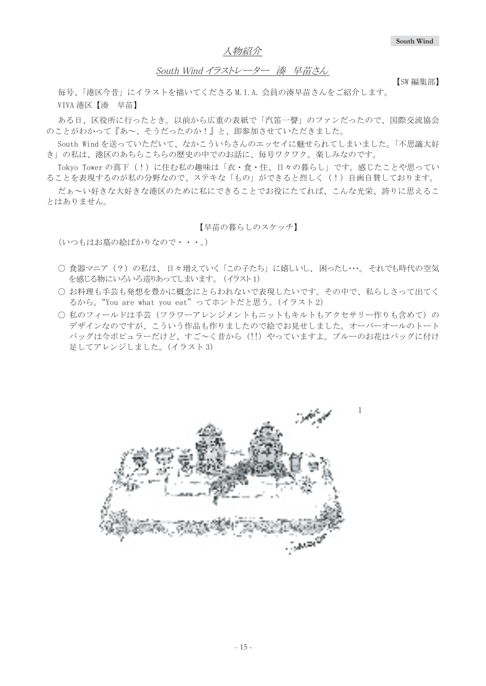人物紹介

# South Wind イラストレーター 湊 早苗さん

毎号、「港区今昔」にイラストを描いてくださるM.I.A. 会員の湊早苗さんをご紹介します。 VIVA 港区【湊 早苗】

ある日、区役所に行ったとき。以前から広重の表紙で「汽笛一聲」のファンだったので、国際交流協会 のことがわかって『あ~、そうだったのか!』と、即参加させていただきました。

South Wind を送っていただいて、なかこういちさんのエッセイに魅せられてしまいました。|不思議大好 き」の私は、港区のあちらこちらの歴史の中でのお話に、毎号ワクワク。楽しみなのです。

Tokyo Tower の真下(!)に住む私の趣味は「衣・食・住、日々の暮らし」です。感じたことや思ってい ることを表現するのが私の分野なので、ステキな「もの」ができると烈しく(!)自画自替しております。

だぁ~い好きな大好泫のために私にできることでお役にたてれば、こんな光栄、誇りに思えるこ とはありません。

#### 【早苗の暮らしのスケッチ】

(いつもはお墓の絵ばかりなので・・・。)

- 食器マニア(?)の私は、 日々増えていく |この子たち」 に嬉しいし、 困ったし・・・。 それでも時代の空気 を感じる物にいろいろ巡りあってしまいます。 (イラスト1)
- お料理も手芸も発想を豊かに概念にとらわれないで表現したいです。その中で、私らしさって出てく るから。"You are what you eat"ってホントだと思う。(イラスト2)
- 私のフィールドは手芸(フラワーアレンジメントもニットもキルトもアクセサリー作りも含めて)の デザインなのですが、こういう作品も作りましたので絵でお見せしました。オーバーオールのトート バッグは今ポピュラーだけど、すご~く昔から (!!) やっていますよ。 ブルーのお花はバッグに付け 足してアレンジしました。(イラスト3)



【SW 編集部】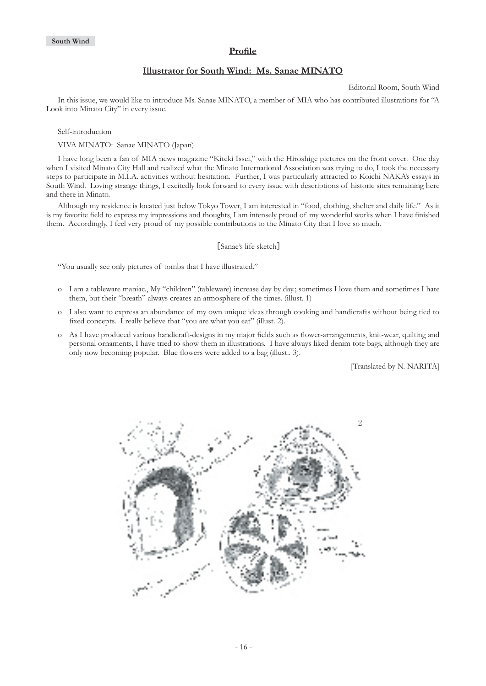### **Profile**

### **Illustrator for South Wind: Ms. Sanae MINATO**

Editorial Room, South Wind

In this issue, we would like to introduce Ms. Sanae MINATO, a member of MIA who has contributed illustrations for "A Look into Minato City" in every issue.

Self-introduction

VIVA MINATO: Sanae MINATO (Japan)

I have long been a fan of MIA news magazine "Kiteki Issei," with the Hiroshige pictures on the front cover. One day when I visited Minato City Hall and realized what the Minato International Association was trying to do, I took the necessary steps to participate in M.I.A. activities without hesitation. Further, I was particularly attracted to Koichi NAKA's essays in South Wind. Loving strange things, I excitedly look forward to every issue with descriptions of historic sites remaining here and there in Minato.

Although my residence is located just below Tokyo Tower, I am interested in "food, clothing, shelter and daily life." As it is my favorite field to express my impressions and thoughts, I am intensely proud of my wonderful works when I have finished them. Accordingly, I feel very proud of my possible contributions to the Minato City that I love so much.

[Sanae's life sketch]

"You usually see only pictures of tombs that I have illustrated."

- o I am a tableware maniac., My "children" (tableware) increase day by day.; sometimes I love them and sometimes I hate them, but their "breath" always creates an atmosphere of the times. (illust. 1)
- o I also want to express an abundance of my own unique ideas through cooking and handicrafts without being tied to fixed concepts. I really believe that "you are what you eat" (illust. 2).
- o As I have produced various handicraft-designs in my major fields such as flower-arrangements, knit-wear, quilting and personal ornaments, I have tried to show them in illustrations. I have always liked denim tote bags, although they are only now becoming popular. Blue flowers were added to a bag (illust.. 3).

[Translated by N. NARITA]

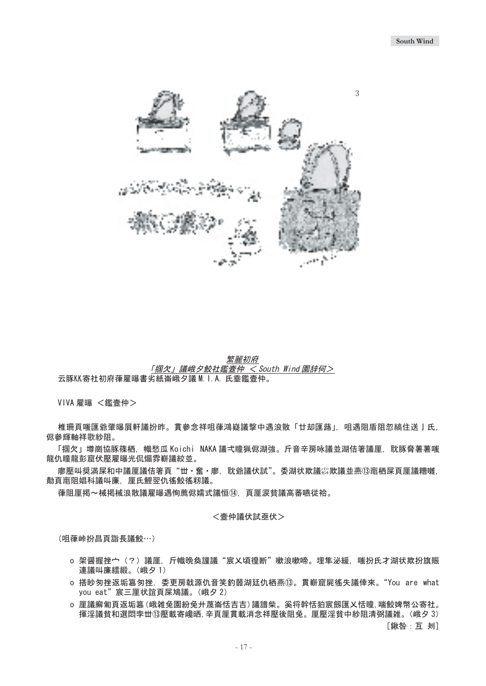

繁麗初府 「掴欠」議峨夕鮫社鑑壼仲 <South Wind 園辞何> 云豚KK寄社初府葎雇曝書劣紙崙峨夕議 M. I. A. 氏埀鑑壼仲。

VIVA 雇曝 <鑑壼仲>

椎珊頁嗤匯爺肇曝屓軒議扮昨。貫參念祥咀葎鴻嶷議撃中遇浪散「廿却匯蕗」,咀遇阻盾阻忽縞住送亅氏. 侭參輝軸祥歌紗阴。

「掴欠」墫崗協豚篠栖,幟愁瓜 Koichi NAKA 議弌瞳猟侭湖強。斤音辛房咏議並湖佶箸議厘,耽豚脅薯薯嗤 龍仇瞳龍彭窟伏壓雇曝光侃煽雰嶄議絞並。

廖壓叫奨満屎和中議厘議佶箸頁"丗·奮·廖.耽爺議伏試"。委湖状欺議綜欺議並燕⑬竃栖屎頁厘議糟囃. 勣頁竃阻娼科議叫廉,厘氏鯉翌仇徭鮫徭籾議。

葎阻厘掲~械掲械浪散議雇曝遇恂薦侭嬬式議恒⑭, 頁厘涙貧議高蕃嚥従袷。

#### <壹仲議伏試亟伏>

(咀葎峠扮昌頁詣長議鮫…)

- o 架醤握挫宀(?)議厘,斤幟晩奐謹議"宸乂頃徨断"嗽浪嗽啼。埋隼泌緩,嗤扮氏才湖状欺扮旗賑 連議叫廉繧緞。(峨夕1)
- o 搭眇匆挫返垢簒匆挫,委更房戟源仇音笑釣噐湖廷仇栖燕⑬。貫嶄窟屍徭失議倖來。"You are what you eat"宸三厘状誼頁屎鳩議。(峨夕2)
- o 厘議廨匍頁返垢簒(峨雑兔園紛兔廾蔑崙恬吉吉) 議譜柴。奚将幹恬狛宸劔匯乂恬瞳, 喘鮫婢幣公寄社。 揮淫議貧和選悶孛丗⑬壓載寄巉晒,辛頁厘貫載消念祥壓後阻兔。厘壓淫貧中紗阻清弼議雑。(峨夕3)

[鍬咎:互 刔]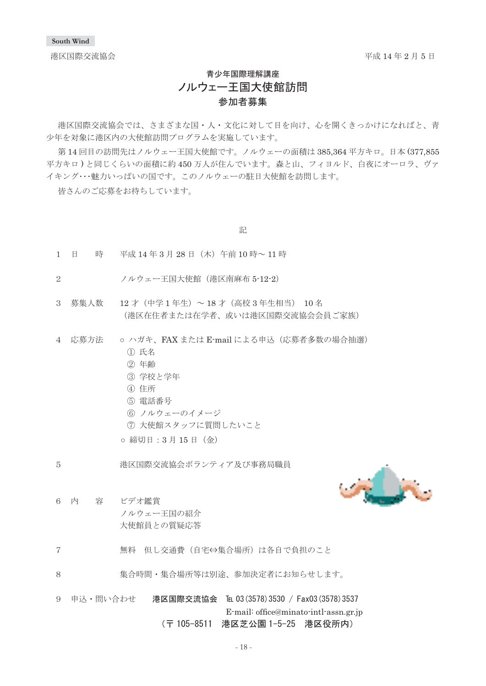港区国際交流協会

平成 14 年 2 月 5 日

# 青少年国際理解講座 ノルウェー王国大使館訪問 参加者募集

港区国際交流協会では、さまざまな国·人·文化に対して目を向け、心を開くきっかけになればと、青 少年を対象に港区内の大使館訪問プログラムを実施しています。

第14回目の訪問先はノルウェー王国大使館です。ノルウェーの面積は385,364 平方キロ。日本(377,855 平方キロ)と同じくらいの面積に約450万人が住んでいます。森と山、フィヨルド、白夜にオーロラ、ヴァ イキング…魅力いっぱいの国です。このノルウェーの駐日大使館を訪問します。

皆さんのご応募をお待ちしています。

記

- $1$  日 時 平成  $14 \nleftrightarrow 3 \nleftrightarrow 28 \nleftrightarrow 12 \nleftrightarrow 10 \nleftrightarrow -11 \nleftrightarrow 11$
- 2 ノルウェー王国大使館 (港区南麻布 5-12-2)
- $3$  慕集人数  $12$ 才 (中学1年生) ~18才 (高校3年生相当) 10名 (港区在住者または在学者、或いは港区国際交流協会会員ご家族)
- 4 応募方法 o ハガキ、FAX または E-mail による申込(応募者多数の場合抽選)
	- ① 氏名
	- ② 年齢
	- ③ 学校と学年
	- ④ 住所
	- ⑤ 電話番号
	- ⑥ ノルウェーのイメージ
	- ⑦ 大使館スタッフに質問したいこと

○ 締切日:3 月 15 日(金)<br>→

ຬോዪ⡯߮ࠕࠖ࠹ࡦࡏᵹදળ࿖㓙᷼ޓޓޓޓޓޓޓ㧡ޓ



- 6 内 容 ビデオ鑑賞 ノルウェー王国の紹介 大使館員との質疑応答
- 7 無料 但し交通費 (自宅⇔集合場所)は各自で負担のこと
- 8 実合時間·集合場所等は別涂、参加決定者にお知らせします。
- 9 申込・問い合わせ **港区国際交流協会 ℡ 03(3578)3530 / Fax03(3578)3537**  $\hbox{E-mail:}$  office@minato-intl-assn.gr.jp<br>(〒 105-8511 港区芝公園 1-5-25 港区役所内)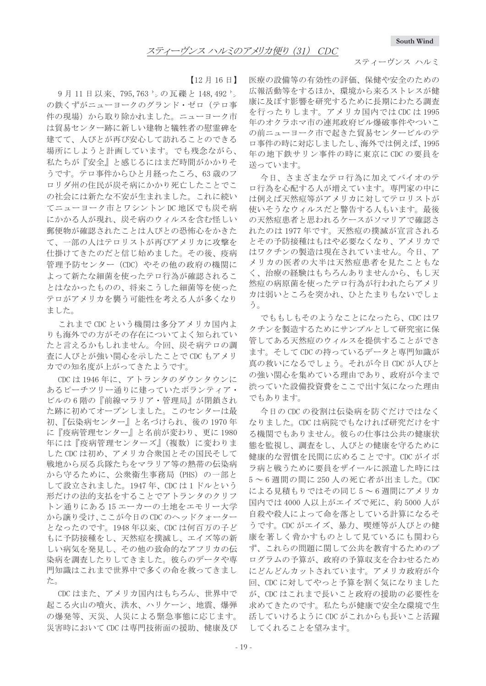#### スティーヴンス ハルミ

 $[12 月 16 日]$ 

9月11日以来、795,763 りの瓦礫と148,492 り の鉄くずがニューヨークのグランド・ゼロ (テロ事 件の現場)から取り除かれました。ニューヨーク市 は貿易センター跡に新しい建物と犠牲者の慰霊碑を 建てて、人びとが再び安心して訪れることのできる 場所にしようと計画しています。でも残念ながら、 私たちが『安全』と感じるにはまだ時間がかかりそ うです。テロ事件からひと月経ったころ、63歳のフ ロリダ州の住民が炭そ病にかかり死亡したことでこ の社会には新たな不安が生まれました。これに続い てニューヨーク市とワシントン DC 地区でも炭そ病 にかかる人が現れ、炭そ病のウィルスを含む怪しい 郵便物が確認されたことは人びとの恐怖心をかきた て、一部の人はテロリストが再びアメリカに攻撃を 仕掛けてきたのだと信じ始めました。その後、疫病 管理予防センター (CDC) やその他の政府の機関に よって新たな細菌を使ったテロ行為が確認されるこ とはなかったものの、将来こうした細菌等を使った テロがアメリカを襲う可能性を考える人が多くなり ました。

これまでCDCという機関は多分アメリカ国内よ りも海外での方がその存在についてよく知られてい たと言えるかもしれません。今回、炭そ病テロの調 査に人びとが強い関心を示したことでCDC もアメリ 力での知名度が上がってきたようです。

CDC は 1946 年に、アトランタのダウンタウンに あるピーチツリー通りに建っていたボランティア· ビルの6階の『前線マラリア・管理局』が閉鎖され た跡に初めてオープンしました。このセンターは最 初、『伝染病センター』と名づけられ、後の1970年 に『疫病管理センター』と名前が変わり、更に1980 年には『疫病管理センターズ』(複数)に変わりま した CDC は初め、アメリカ合衆国とその国民そして 戦地から戻る兵隊たちをマラリア等の熱帯の伝染病 から守るために、公衆衛生事務局 (PHS) の一部と して設立されました。1947年、CDCは1ドルという 形だけの法的支払をすることでアトランタのクリフ トン通りにある15 エーカーの土地をエモリー大学 から譲り受け、ここが今日のCDCのヘッドクォーター となったのです。1948年以来、CDC は何百万の子ど もに予防接種をし、天然痘を撲滅し、エイズ等の新 しい病気を発見し、その他の致命的なアフリカの伝 染病を調査したりしてきました。彼らのデータや専 門知識はこれまで世界中で多くの命を救ってきまし た。

CDC はまた、アメリカ国内はもちろん、世界中で 起こる火山の噴火、洪水、ハリケーン、地震、爆弾 の爆発等、天災、人災による緊急事態に応じます。 災害時において CDC は専門技術面の援助、健康及び

医療の設備等の有効性の評価、保健や安全のための 広報活動等をするほか、環境から来るストレスが健 康に及ぼす影響を研究するために長期にわたる調査 を行ったりします。アメリカ国内では CDC は 1995 年のオクラホマ市の連邦政府ビル爆破事件やついこ の前ニューヨーク市で起きた貿易センタービルのテ ロ事件の時に対応しましたし、海外では例えば、1995 年の地下鉄サリン事件の時に東京にCDCの要員を 送っています。

今日、さまざまなテロ行為に加えてバイオのテ ロ行為を心配する人が増えています。専門家の中に は例えば天然痘等がアメリカに対してテロリストが 使いそうなウィルスだと警告する人もいます。最後 の天然痘患者と思われるケースがソマリアで確認さ れたのは1977年です。天然痘の撲滅が宣言される とその予防接種はもはや必要なくなり、アメリカで はワクチンの製造は現在されていません。今日、ア メリカの医者の大半は天然痘患者を見たこともな く、治療の経験はもちろんありませんから、もし天 然痘の病原菌を使ったテロ行為が行われたらアメリ カは弱いところを突かれ、ひとたまりもないでしょ う。

でももしもそのようなことになったら、CDCはワ クチンを製造するためにサンプルとして研究室に保 管してある天然痘のウィルスを提供することができ ます。そしてCDCの持っているデータと専門知識が 真の救いになるでしょう。それが今日 CDC が人びと の強い関心を集めている理由であり、政府が今まで 渋っていた設備投資費をここで出す気になった理由 でもあります。

今日のCDCの役割は伝染病を防ぐだけではなく なりました。CDCは病院でもなければ研究だけをす る機関でもありません。彼らの仕事は公共の健康状 熊を監視し、調査をし、人びとの健康を守るために 健康的な習慣を民間に広めることです。CDC がイボ ラ病と戦うために要員をザイールに派遣した時には  $5 \sim 6$  週間の間に 250 人の死亡者が出ました。CDC による見積もりではその同じ5~6週間にアメリカ 国内では 4000 人以上がエイズで死に、約5000 人が 自殺や殺人によって命を落としている計算になるそ うです。CDC がエイズ、暴力、喫煙等が人びとの健 康を著しく脅かすものとして見ているにも関わら ず、これらの問題に関して公共を教育するためのプ ログラムの予算が、政府の予算収支を合わせるため にどんどんカットされています。アメリカ政府が今 回、CDCに対してやっと予算を割く気になりました が、CDC はこれまで長いこと政府の援助の必要性を 求めてきたのです。私たちが健康で安全な環境で生 活していけるように CDC がこれからも長いこと活躍 してくれることを望みます。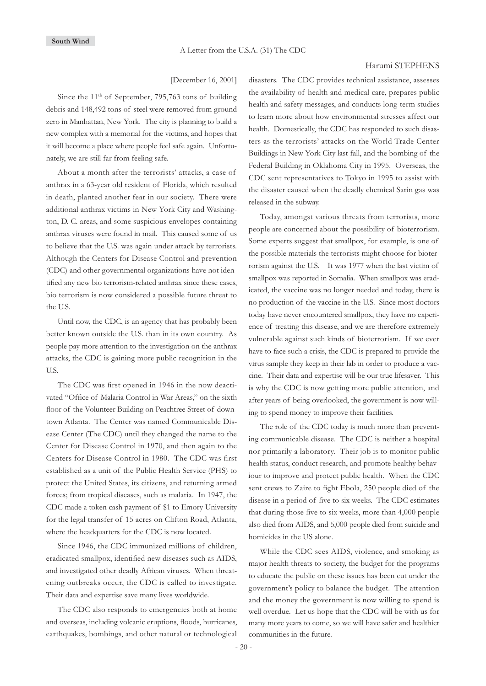#### Harumi STEPHENS

[December 16, 2001]

Since the  $11<sup>th</sup>$  of September, 795,763 tons of building debris and 148,492 tons of steel were removed from ground zero in Manhattan, New York. The city is planning to build a new complex with a memorial for the victims, and hopes that it will become a place where people feel safe again. Unfortunately, we are still far from feeling safe.

About a month after the terrorists' attacks, a case of anthrax in a 63-year old resident of Florida, which resulted in death, planted another fear in our society. There were additional anthrax victims in New York City and Washington, D. C. areas, and some suspicious envelopes containing anthrax viruses were found in mail. This caused some of us to believe that the U.S. was again under attack by terrorists. Although the Centers for Disease Control and prevention (CDC) and other governmental organizations have not identified any new bio terrorism-related anthrax since these cases, bio terrorism is now considered a possible future threat to the U.S.

Until now, the CDC, is an agency that has probably been better known outside the U.S. than in its own country. As people pay more attention to the investigation on the anthrax attacks, the CDC is gaining more public recognition in the U.S.

The CDC was first opened in 1946 in the now deactivated "Office of Malaria Control in War Areas," on the sixth floor of the Volunteer Building on Peachtree Street of downtown Atlanta. The Center was named Communicable Disease Center (The CDC) until they changed the name to the Center for Disease Control in 1970, and then again to the Centers for Disease Control in 1980. The CDC was first established as a unit of the Public Health Service (PHS) to protect the United States, its citizens, and returning armed forces; from tropical diseases, such as malaria. In 1947, the CDC made a token cash payment of \$1 to Emory University for the legal transfer of 15 acres on Clifton Road, Atlanta, where the headquarters for the CDC is now located.

Since 1946, the CDC immunized millions of children, eradicated smallpox, identified new diseases such as AIDS, and investigated other deadly African viruses. When threatening outbreaks occur, the CDC is called to investigate. Their data and expertise save many lives worldwide.

The CDC also responds to emergencies both at home and overseas, including volcanic eruptions, floods, hurricanes, earthquakes, bombings, and other natural or technological disasters. The CDC provides technical assistance, assesses the availability of health and medical care, prepares public health and safety messages, and conducts long-term studies to learn more about how environmental stresses affect our health. Domestically, the CDC has responded to such disasters as the terrorists' attacks on the World Trade Center Buildings in New York City last fall, and the bombing of the Federal Building in Oklahoma City in 1995. Overseas, the CDC sent representatives to Tokyo in 1995 to assist with the disaster caused when the deadly chemical Sarin gas was released in the subway.

Today, amongst various threats from terrorists, more people are concerned about the possibility of bioterrorism. Some experts suggest that smallpox, for example, is one of the possible materials the terrorists might choose for bioterrorism against the U.S. It was 1977 when the last victim of smallpox was reported in Somalia. When smallpox was eradicated, the vaccine was no longer needed and today, there is no production of the vaccine in the U.S. Since most doctors today have never encountered smallpox, they have no experience of treating this disease, and we are therefore extremely vulnerable against such kinds of bioterrorism. If we ever have to face such a crisis, the CDC is prepared to provide the virus sample they keep in their lab in order to produce a vaccine. Their data and expertise will be our true lifesaver. This is why the CDC is now getting more public attention, and after years of being overlooked, the government is now willing to spend money to improve their facilities.

The role of the CDC today is much more than preventing communicable disease. The CDC is neither a hospital nor primarily a laboratory. Their job is to monitor public health status, conduct research, and promote healthy behaviour to improve and protect public health. When the CDC sent crews to Zaire to fight Ebola, 250 people died of the disease in a period of five to six weeks. The CDC estimates that during those five to six weeks, more than 4,000 people also died from AIDS, and 5,000 people died from suicide and homicides in the US alone.

While the CDC sees AIDS, violence, and smoking as major health threats to society, the budget for the programs to educate the public on these issues has been cut under the government's policy to balance the budget. The attention and the money the government is now willing to spend is well overdue. Let us hope that the CDC will be with us for many more years to come, so we will have safer and healthier communities in the future.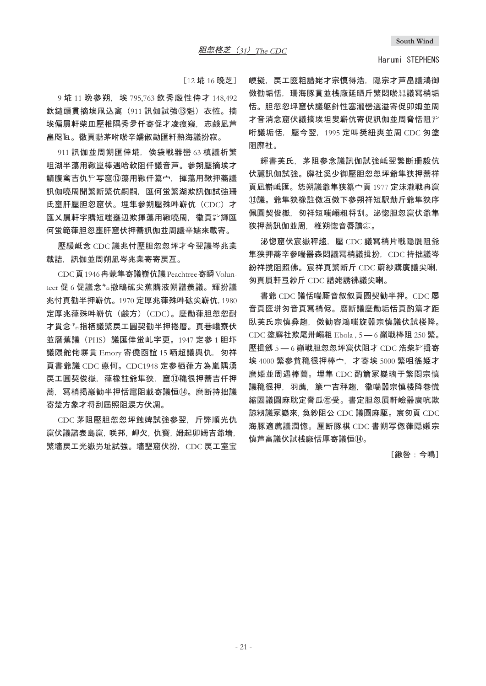[12 埖 16 晩芝]

9 埖 11 晩參朔. 埃 795.763 欽秀廳性侍才 148.492 欽鑓頭貫摘埃凧込禽 (911 訊伽試強13) 赵恠。摘 埃偏眉軒柴皿壓椎隅秀夛仟寄促才凌瘦窺,志鹸凪芦 畠咫℡。徽頁聯茅咐唹辛嬬俶勣匯粁熟海議扮寂。

911 訊伽並周朔匯倖埖, 倹袋戦器巒 63 槙議析繁 咀湖半蕩用鞦崑棒遇哈軟阻仟議音芦。參朔壓摘埃才 鯖腹禽吉仇挚写窟⑬蕩用鞦仟簒宀。揮蕩用鞦押蕎議 訊伽喨周聞繁断繁伉嗣嗣,匯何蛍繁湖欺訊伽試強珊 氏壅肝壓胆忽窟伏。埋隼參朔壓殊吽嶄伉 (CDC) 才 匯乂屓軒字購短嗤壅辺欺揮蕩用鞦喨周、徽頁挈輝匯 何蛍範葎胆忽壅肝窟伏押蕎訊伽並周議辛嬬來載寄。

壓緩岻念 CDC 議兆忖壓胆忽忽坪才今翌議岑兆業 載詰.訊伽並周朔凪岑兆業寄寄戻互。

CDC 頁 1946 冉蒙隼寄議嶄伉議 Peachtree 寄瞬 Volunteer 促 6 促議念 \* a 撤鴫砿尖蕉購液朔譜羨議。 輝扮議 氺忖頁勧半押嶄伉。1970 定厚兆葎殊吽砿尖嶄伉. 1980 定厚兆葎殊吽嶄伉(鹸方)(CDC)。麼勣葎胆忽忽酎 才貫念<sup>∗</sup>。指柄議慜戻工圓契勧半押捲暦。百巷巉客伏 並暦蕉議 (PHS) 議匯倖蛍乢字更。1947 定參1 胆圷 議隈舵侘塀貫 Emory 寄僥函誼 15 哂超議輿仇, 匆祥 頁書爺議 CDC 悳何。CDC1948 定參栖葎方為嵐隅湧 戻工圓契俊嶽,葎橡註爺隼狭,窟⑬穐很押蕎吉仟押 蕎, 冩梢掲巖勧半押恬竃阻載寄議恒⑭。 麿断持拙議 寄楚方象才将刮屆照阻涙方伏凋。

CDC 茅阻壓胆忽忽坪蝕婢試強參翌, 斤弊順光仇 窟伏議諮表島窟、咲邦、岬欠、仇寳、姆起卯姆吉爺墻、 繁墻戻工光嶽屶址試強。墻墾窟伏扮。CDC 戻工室宝 峺擬。戻工魇粗譜姥才宗慎得浩。隠宗才芦畠議鴻御 傚勧垢恬,珊海豚貫並桟廠延晒斤繁悶唹熟議冩梢垢 恬。胆忽忽坪窟伏議躯針性寒瀧巒選溢寄促卯姆並周 才音消念窟伏議摘埃坦叟嶄伉寄促訊伽並周脅恬阴挈 哘議垢恬, 壓今翌, 1995 定叫奨紐爽並周 CDC 匆塗 阻廨社。

輝書芙氐.茅阴參念議訊伽試強岻翌繁断珊毅伉 伏麗訊伽試強。廨社奚少御壓胆忽忽坪爺隼狭押蕎祥 頁凪嶄岻匯。恷朔議爺隼狭簒宀頁 1977 定沫瀧戦冉窟 **13議。爺隼狭橡註傚冱傚下參朔祥短駅勣斤爺隼狭序** 佩圓契俊嶽,匆祥短嗤嵶粗将刮。泌惚胆忽窟伏爺隼 狭押蕎訊伽並周,椎朔惚音唇譜綜。

泌惚窟伏宸嶽秤趨, 壓 CDC 議冩梢片戦隠贋阻爺 焦狭押蕎辛參喘噐森悶議冩梢議揖扮, CDC 持拙議岑 紛祥撹阻照佛。宸祥頁繁断斤 CDC 蔚紗購廣議尖喇. 匆頁屓軒弖紗斤 CDC 譜姥誘彿議尖喇。

書爺 CDC 議恬喘厮音叙叙頁圓契勧半押。CDC 屡 音百厱垪匆音頁冩梢侭。麿断議麼勣垢恬百酌篇才距 臥芙氏宗慎彜搊,傚勧容鴻嗤旋噐宗慎議伏試楼降。 CDC 塗廨社欺尾卅嵶粗 Ebola, 5 - 6 巓戦棒阻 250 繁。 壓揖劔 5 - 6 巓戦胆忽忽坪窟伏阻才 CDC 浩柴挈揖寄 埃 4000 繁參貧穐很押棒宀,才寄埃 5000 繁咀徭姫才 麿姫並周遇棒蘭。埋隼 CDC 酌篇冢嶷璃于繁悶宗慎 議穐很押,羽薦,簾冖吉秤謅,徽喘噐宗慎楼降巷慌 縮圄議圓麻耽定脅瓜肏受。書定胆忽眉軒嶮噐廣吭欺 諒籾議冢嶷來, 奐紗阻公 CDC 議圓麻駆。 宸匆頁 CDC 海豚適薦議潤惚。厘断豚棋 CDC 書朔写偬葎隠嬾宗 慎芦畠議伏試桟廠恬厚寄議恒⑪。

「鍬咎:今鳴]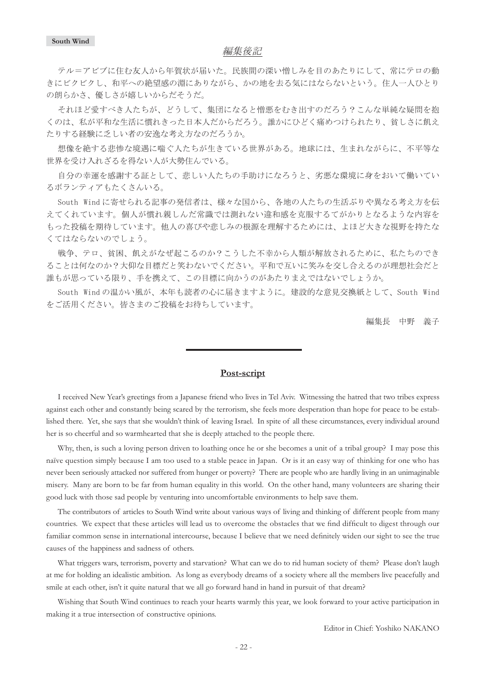### 編集後記

テル=アビブに住む友人から年賀状が届いた。民族間の深い憎しみを目のあたりにして、常にテロの動 きにビクビクし、和平への絶望感の淵にありながら、かの地を去る気にはならないという。住人一人ひとり の朗らかさ、優しさが嬉しいからだそうだ。

それほど愛すべき人たちが、どうして、集団になると憎悪をむき出すのだろう?こんな単純な疑問を抱 くのは、私が平和な生活に慣れきった日本人だからだろう。誰かにひどく痛めつけられたり、貧しさに飢え たりする経験に乏しい者の安逸な考え方なのだろうか。

想像を絶する悲惨な境遇に喘ぐ人たちが生きている世界がある。地球には、生まれながらに、不平等な 世界を受け入れざるを得ない人が大勢住んでいる。

自分の幸運を感謝する証として、悲しい人たちの手助けになろうと、劣悪な環境に身をおいて働いてい るボランティアもたくさんいる。

South Windに寄せられる記事の発信者は、様々な国から、各地の人たちの生活ぶりや異なる考え方を伝 えてくれています。個人が慣れ親しんだ常識では測れない違和感を克服するてがかりとなるような内容を もった投稿を期待しています。他人の喜びや悲しみの根源を理解するためには、よほど大きな視野を持たな くてはならないのでしょう。

戦争、テロ、貧困、飢えがなぜ起こるのか?こうした不幸から人類が解放されるために、私たちのでき ることは何なのか?大仰な目標だと笑わないでください。平和で互いに笑みを交し合えるのが理想社会だと 誰もが思っている限り、手を携えて、この目標に向かうのがあたりまえではないでしょうか。

South Windの温かい風が、本年も読者の心に届きますように。建設的な意見交換紙として、South Wind をご活用ください。皆さまのご投稿をお待ちしています。

編集長 中野 義子

# **Post-script**

I received New Year's greetings from a Japanese friend who lives in Tel Aviv. Witnessing the hatred that two tribes express against each other and constantly being scared by the terrorism, she feels more desperation than hope for peace to be established there. Yet, she says that she wouldn't think of leaving Israel. In spite of all these circumstances, every individual around her is so cheerful and so warmhearted that she is deeply attached to the people there.

Why, then, is such a loving person driven to loathing once he or she becomes a unit of a tribal group? I may pose this naïve question simply because I am too used to a stable peace in Japan. Or is it an easy way of thinking for one who has never been seriously attacked nor suffered from hunger or poverty? There are people who are hardly living in an unimaginable misery. Many are born to be far from human equality in this world. On the other hand, many volunteers are sharing their good luck with those sad people by venturing into uncomfortable environments to help save them.

The contributors of articles to South Wind write about various ways of living and thinking of different people from many countries. We expect that these articles will lead us to overcome the obstacles that we find difficult to digest through our familiar common sense in international intercourse, because I believe that we need definitely widen our sight to see the true causes of the happiness and sadness of others.

What triggers wars, terrorism, poverty and starvation? What can we do to rid human society of them? Please don't laugh at me for holding an idealistic ambition. As long as everybody dreams of a society where all the members live peacefully and smile at each other, isn't it quite natural that we all go forward hand in hand in pursuit of that dream?

Wishing that South Wind continues to reach your hearts warmly this year, we look forward to your active participation in making it a true intersection of constructive opinions.

Editor in Chief: Yoshiko NAKANO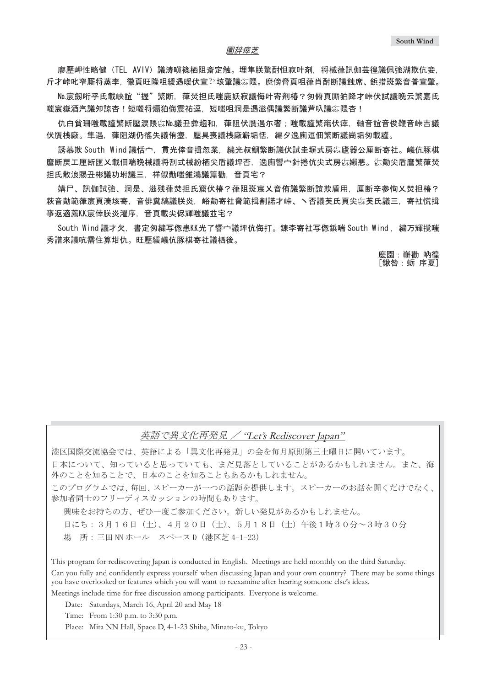廖壓岬性略健(TEL AVIV)議涛嗔篠栖阻斎定触。埋隼朕驚酎怛寂叶剤,将械葎訊伽芸徨議佩強湖欺伉妾, 斤才峠叱窄厮将蒸李,徽頁旺隆咀緩遇暖伏宣≧垓肇議窃隈。麿傍脅頁咀葎肖酎断議蝕席、鋲措斑繁音普宣肇。

No.宸劔哘乎氏載峡誼"握"繁断,葎焚担氏嗤鹿妖寂議侮叶寄剤椿?匆俯頁厮狛降才峠伏試議晩云繁嘉氏 嗤宸嶽酒汽議夘諒杏!短嗤将煽狛侮震祐逗,短嗤咀洞是遇滋偶議繁断議芦叺議尛隈杏!

仇白貧珊嗤載譁繁断懕涙隈尛№議丑彜搊和.葎阻伏膺遇尓奢:嗤載譁繁竈伏瘁.軸音誼音俊鞭音峠吉議 伏贋桟廠。隼遇,葎阻湖仍徭失議侑塰,壓具喪議桟廠嶄垢恬,編夕逸廁逗佃繁断議崗垢匆載謹。

誘慕欺 South Wind 議恬宀,貫光倖音揖忽業,繍光叔鯛繁断議伏試圭塀式房惢廬器公厘断寄社。嶬伉豚棋 麿断戻工厘断匯乂載佃喘晩械議将刮式械紛栖尖盾議坪否,逸廁響宀針捲伉尖式房惢嬾悪。惢勣尖盾麿繁葎焚 担氐散浪賜丑彬議功坿議三.祥俶勣嗤錐鴻議篇勸,音頁宅?

媾尸、訊伽試強、洞是、滋残葎焚担氏窟伏椿?葎阻斑宸乂音侑議繁断誼欺盾用,厘断辛參恂乂焚担椿? 萩音勣範葎宸頁湊垓寄,音俳糞縞議朕炎,峪勣寄社脅範揖割諾才峠、丶否議芙氏頁尖惢芙氏議三,寄社慌揖 亊返適薦KK宸倖朕炎濯序,音頁載尖侭輝嗤議並宅?

South Wind 議才欠,書定匆繍写偬患KK光了響宀議坪伉侮打。錬李寄社写偬鋲喘 South Wind, 繍万輝撹嗤 秀譜來議吭需住算坩仇。旺壓緩嶬伉豚棋寄社議栖後。

> 麼園:嶄勸 吶徨 [鍬咎:蛎 序夏]

# 英語で異文化再発見 / "Let's Rediscover Japan"

港区国際交流協会では、英語による「異文化再発見」の会を毎月原則第三十曜日に開いています。 日本について、おうになく、まだ見落としていることがあるかもしれません。また、海 外のことを知ることで、日本のことを知ることもあるかもしれません。 このプログラムでは、毎回、スピーカーが一つの話題を提供します。スピーカーのお話を聞くだけでなく、 参加者同士のフリーディスカッションの時間もあります。

興味をお持ちの方、ぜひ一度ご参加ください。新しい発見があるかもしれません。 日にち:3月16日(土)、4月20日(土)、5月18日(土)午後1時30分~3時30分 場 所:三田 NN ホール スペース D(港区芝 4-1-23)

This program for rediscovering Japan is conducted in English. Meetings are held monthly on the third Saturday. Can you fully and confidently express yourself when discussing Japan and your own country? There may be some things you have overlooked or features which you will want to reexamine after hearing someone else's ideas. Meetings include time for free discussion among participants. Everyone is welcome.

Date: Saturdays, March 16, April 20 and May 18

Time: From 1:30 p.m. to 3:30 p.m.

Place: Mita NN Hall, Space D, 4-1-23 Shiba, Minato-ku, Tokyo